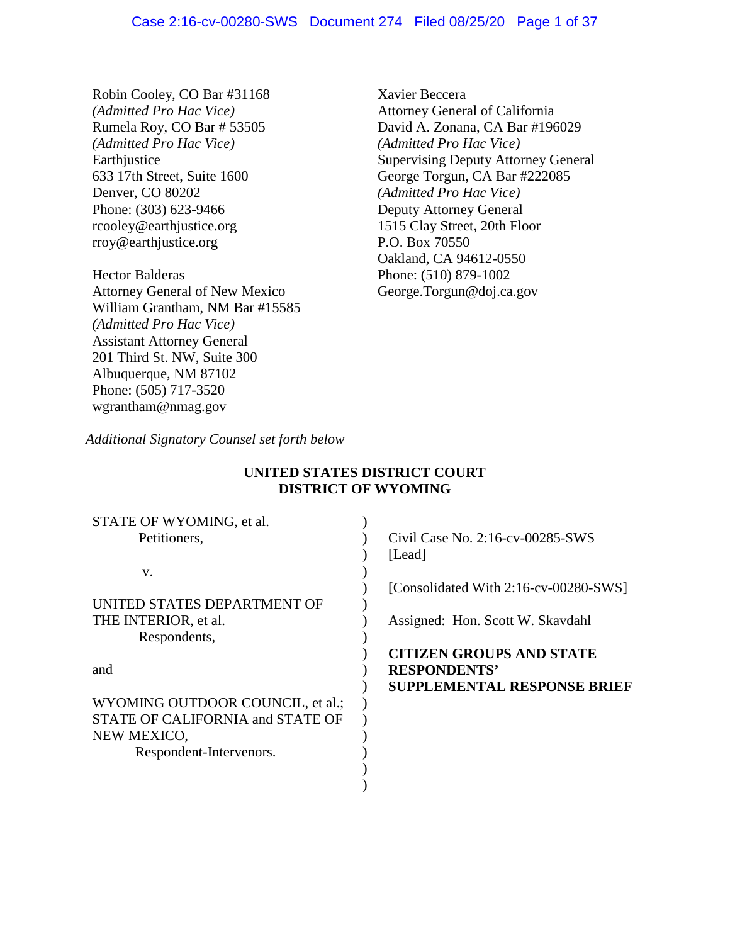Robin Cooley, CO Bar #31168 *(Admitted Pro Hac Vice)*  Rumela Roy, CO Bar # 53505 *(Admitted Pro Hac Vice)* Earthjustice 633 17th Street, Suite 1600 Denver, CO 80202 Phone: (303) 623-9466 rcooley@earthjustice.org rroy@earthjustice.org

Hector Balderas Attorney General of New Mexico William Grantham, NM Bar #15585 *(Admitted Pro Hac Vice)* Assistant Attorney General 201 Third St. NW, Suite 300 Albuquerque, NM 87102 Phone: (505) 717-3520 wgrantham@nmag.gov

Xavier Beccera Attorney General of California David A. Zonana, CA Bar #196029 *(Admitted Pro Hac Vice)* Supervising Deputy Attorney General George Torgun, CA Bar #222085 *(Admitted Pro Hac Vice)* Deputy Attorney General 1515 Clay Street, 20th Floor P.O. Box 70550 Oakland, CA 94612-0550 Phone: (510) 879-1002 George.Torgun@doj.ca.gov

*Additional Signatory Counsel set forth below*

#### **UNITED STATES DISTRICT COURT DISTRICT OF WYOMING**

| STATE OF WYOMING, et al.         |                                       |
|----------------------------------|---------------------------------------|
| Petitioners,                     | Civil Case No. 2:16-cv-00285-SWS      |
|                                  | [Lead]                                |
| V.                               |                                       |
|                                  | [Consolidated With 2:16-cv-00280-SWS] |
| UNITED STATES DEPARTMENT OF      |                                       |
| THE INTERIOR, et al.             | Assigned: Hon. Scott W. Skavdahl      |
| Respondents,                     |                                       |
|                                  | <b>CITIZEN GROUPS AND STATE</b>       |
| and                              | <b>RESPONDENTS'</b>                   |
|                                  | <b>SUPPLEMENTAL RESPONSE BRIEF</b>    |
| WYOMING OUTDOOR COUNCIL, et al.; |                                       |
| STATE OF CALIFORNIA and STATE OF |                                       |
| NEW MEXICO,                      |                                       |
| Respondent-Intervenors.          |                                       |
|                                  |                                       |
|                                  |                                       |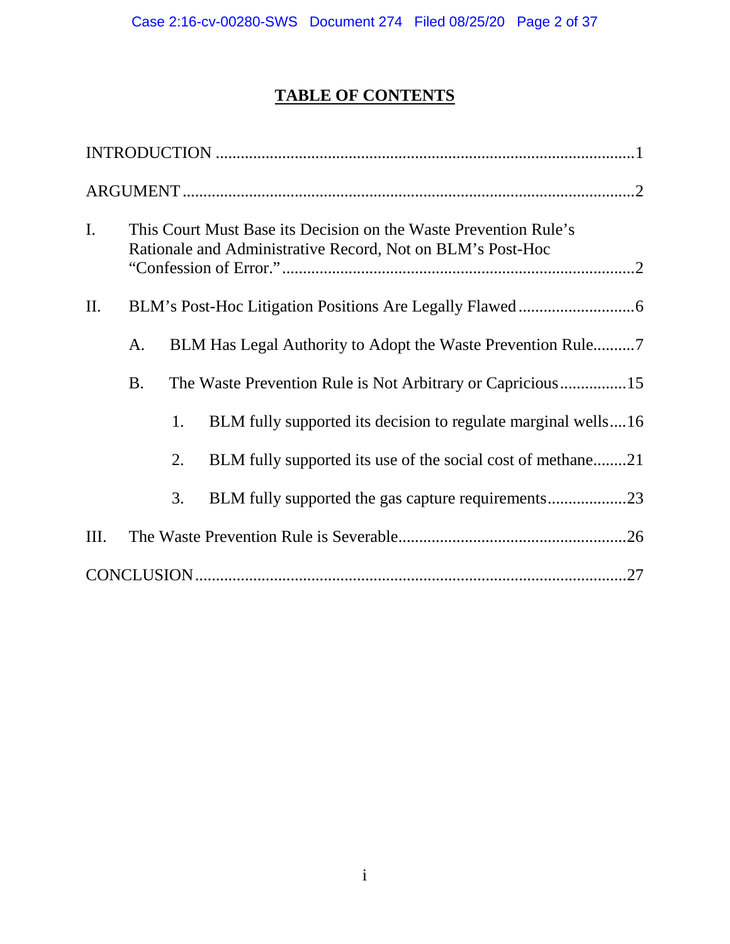# **TABLE OF CONTENTS**

| $I_{\cdot}$ |           |    | This Court Must Base its Decision on the Waste Prevention Rule's<br>Rationale and Administrative Record, Not on BLM's Post-Hoc |
|-------------|-----------|----|--------------------------------------------------------------------------------------------------------------------------------|
| П.          |           |    |                                                                                                                                |
|             | A.        |    | BLM Has Legal Authority to Adopt the Waste Prevention Rule7                                                                    |
|             | <b>B.</b> |    | The Waste Prevention Rule is Not Arbitrary or Capricious15                                                                     |
|             |           | 1. | BLM fully supported its decision to regulate marginal wells16                                                                  |
|             |           | 2. | BLM fully supported its use of the social cost of methane21                                                                    |
|             |           | 3. | BLM fully supported the gas capture requirements23                                                                             |
| Ш.          |           |    |                                                                                                                                |
|             |           |    | .27                                                                                                                            |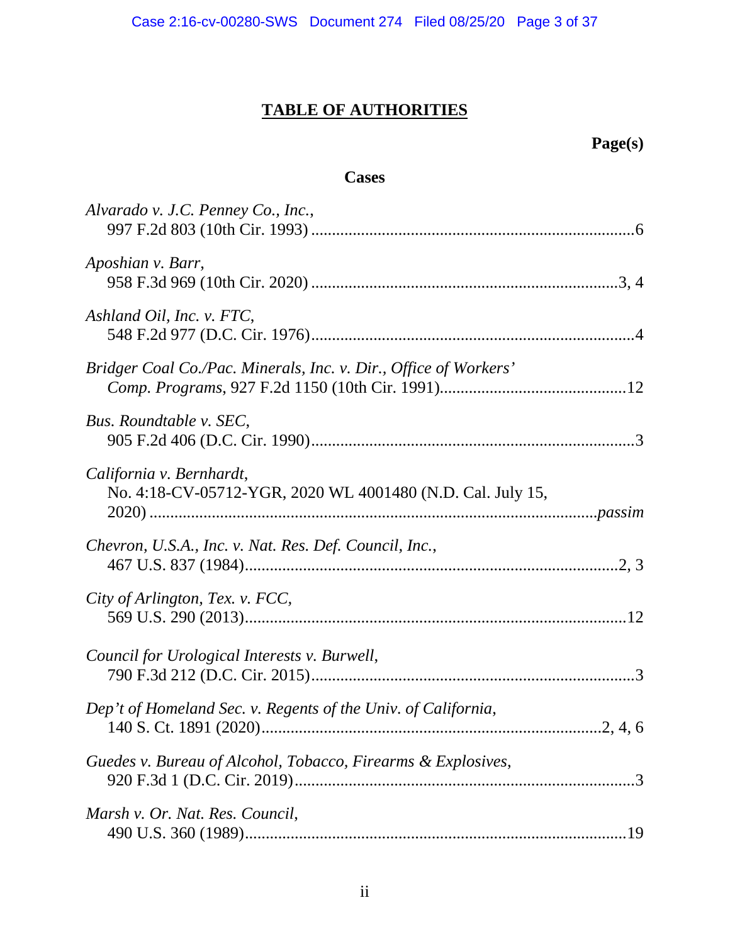# **TABLE OF AUTHORITIES**

# **Page(s)**

## **Cases**

| Alvarado v. J.C. Penney Co., Inc.,                                                     |               |
|----------------------------------------------------------------------------------------|---------------|
| Aposhian v. Barr,                                                                      |               |
| Ashland Oil, Inc. v. FTC,                                                              |               |
| Bridger Coal Co./Pac. Minerals, Inc. v. Dir., Office of Workers'                       |               |
| Bus. Roundtable v. SEC,                                                                |               |
| California v. Bernhardt,<br>No. 4:18-CV-05712-YGR, 2020 WL 4001480 (N.D. Cal. July 15, |               |
| Chevron, U.S.A., Inc. v. Nat. Res. Def. Council, Inc.,                                 |               |
| City of Arlington, Tex. v. FCC,                                                        |               |
| Council for Urological Interests v. Burwell,                                           |               |
| Dep't of Homeland Sec. v. Regents of the Univ. of California,                          |               |
| Guedes v. Bureau of Alcohol, Tobacco, Firearms & Explosives,                           | $\mathcal{R}$ |
| Marsh v. Or. Nat. Res. Council,                                                        |               |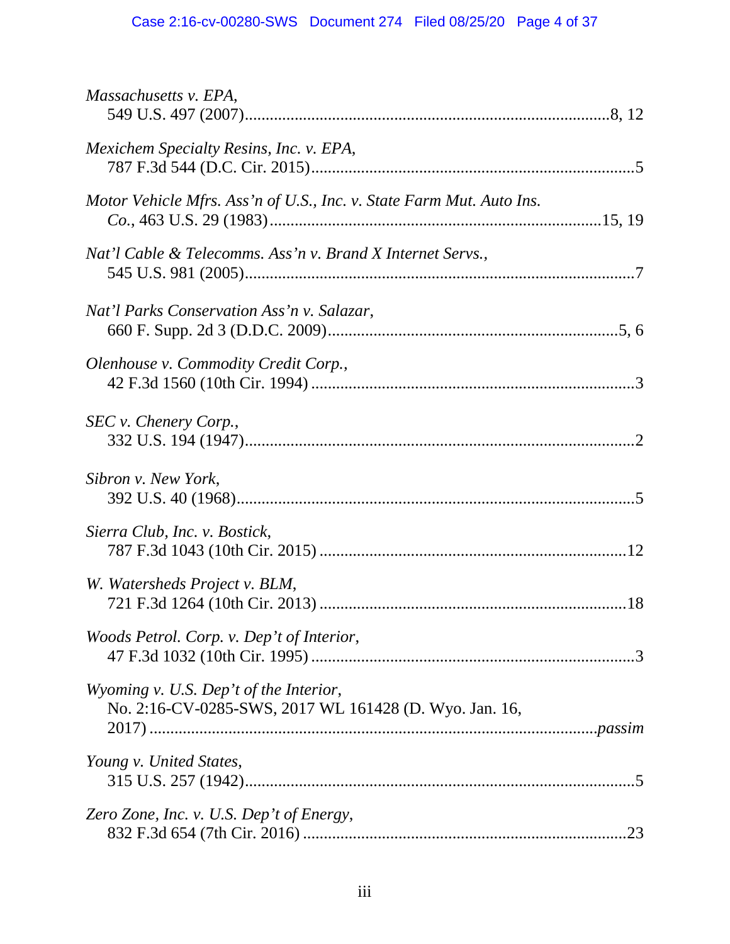| Massachusetts v. EPA,                                                                            |
|--------------------------------------------------------------------------------------------------|
| Mexichem Specialty Resins, Inc. v. EPA,                                                          |
| Motor Vehicle Mfrs. Ass'n of U.S., Inc. v. State Farm Mut. Auto Ins.                             |
| Nat'l Cable & Telecomms. Ass'n v. Brand X Internet Servs.,                                       |
| Nat'l Parks Conservation Ass'n v. Salazar,                                                       |
| Olenhouse v. Commodity Credit Corp.,                                                             |
| SEC v. Chenery Corp.,                                                                            |
| Sibron v. New York,                                                                              |
| Sierra Club, Inc. v. Bostick,                                                                    |
| W. Watersheds Project v. BLM,                                                                    |
| Woods Petrol. Corp. v. Dep't of Interior,                                                        |
| Wyoming v. U.S. Dep't of the Interior,<br>No. 2:16-CV-0285-SWS, 2017 WL 161428 (D. Wyo. Jan. 16, |
| Young v. United States,                                                                          |
| Zero Zone, Inc. v. U.S. Dep't of Energy,                                                         |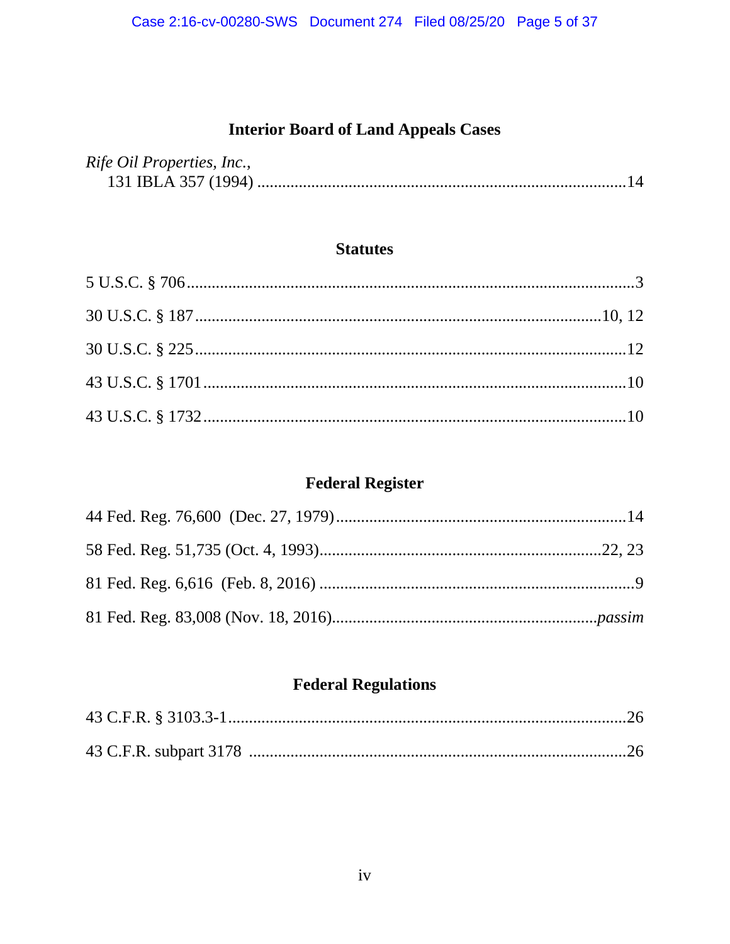# **Interior Board of Land Appeals Cases**

| Rife Oil Properties, Inc., |  |
|----------------------------|--|
|                            |  |

### **Statutes**

# **Federal Register**

# **Federal Regulations**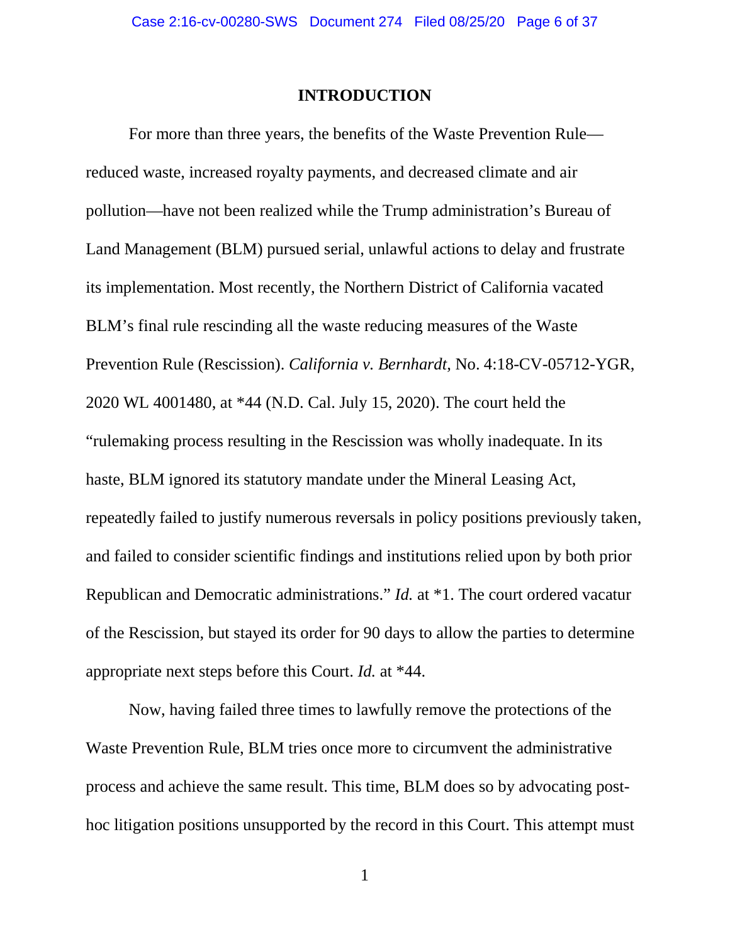### **INTRODUCTION**

For more than three years, the benefits of the Waste Prevention Rule reduced waste, increased royalty payments, and decreased climate and air pollution—have not been realized while the Trump administration's Bureau of Land Management (BLM) pursued serial, unlawful actions to delay and frustrate its implementation. Most recently, the Northern District of California vacated BLM's final rule rescinding all the waste reducing measures of the Waste Prevention Rule (Rescission). *California v. Bernhardt*, No. 4:18-CV-05712-YGR, 2020 WL 4001480, at \*44 (N.D. Cal. July 15, 2020). The court held the "rulemaking process resulting in the Rescission was wholly inadequate. In its haste, BLM ignored its statutory mandate under the Mineral Leasing Act, repeatedly failed to justify numerous reversals in policy positions previously taken, and failed to consider scientific findings and institutions relied upon by both prior Republican and Democratic administrations." *Id.* at \*1. The court ordered vacatur of the Rescission, but stayed its order for 90 days to allow the parties to determine appropriate next steps before this Court. *Id.* at \*44.

Now, having failed three times to lawfully remove the protections of the Waste Prevention Rule, BLM tries once more to circumvent the administrative process and achieve the same result. This time, BLM does so by advocating posthoc litigation positions unsupported by the record in this Court. This attempt must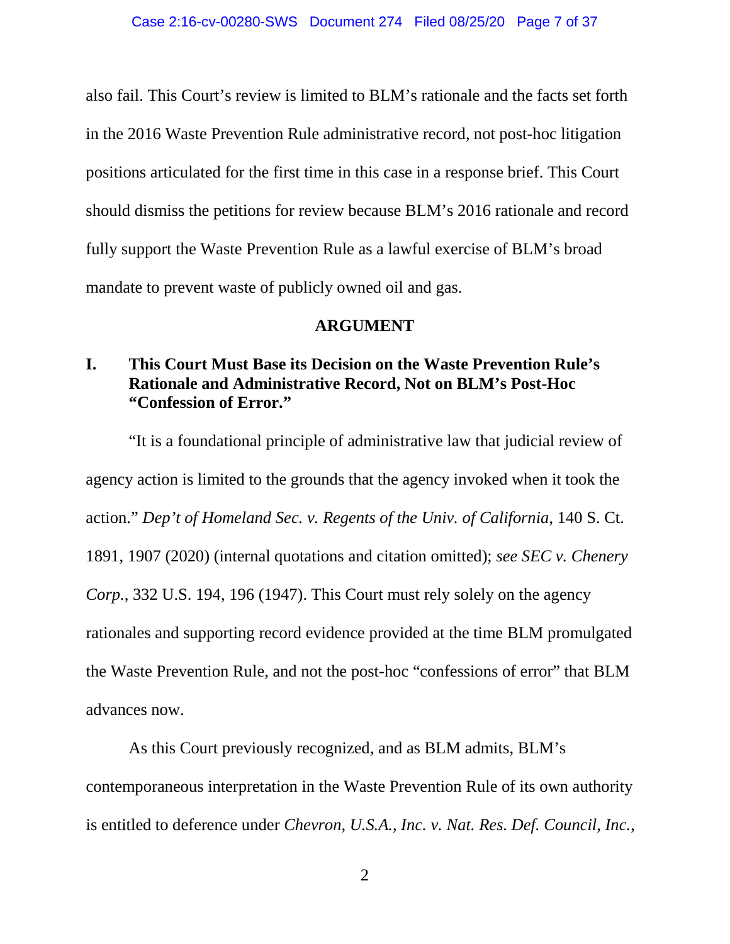also fail. This Court's review is limited to BLM's rationale and the facts set forth in the 2016 Waste Prevention Rule administrative record, not post-hoc litigation positions articulated for the first time in this case in a response brief. This Court should dismiss the petitions for review because BLM's 2016 rationale and record fully support the Waste Prevention Rule as a lawful exercise of BLM's broad mandate to prevent waste of publicly owned oil and gas.

#### **ARGUMENT**

## **I. This Court Must Base its Decision on the Waste Prevention Rule's Rationale and Administrative Record, Not on BLM's Post-Hoc "Confession of Error."**

"It is a foundational principle of administrative law that judicial review of agency action is limited to the grounds that the agency invoked when it took the action." *Dep't of Homeland Sec. v. Regents of the Univ. of California*, 140 S. Ct. 1891, 1907 (2020) (internal quotations and citation omitted); *see SEC v. Chenery Corp.*, 332 U.S. 194, 196 (1947). This Court must rely solely on the agency rationales and supporting record evidence provided at the time BLM promulgated the Waste Prevention Rule, and not the post-hoc "confessions of error" that BLM advances now.

As this Court previously recognized, and as BLM admits, BLM's contemporaneous interpretation in the Waste Prevention Rule of its own authority is entitled to deference under *Chevron, U.S.A., Inc. v. Nat. Res. Def. Council, Inc.*,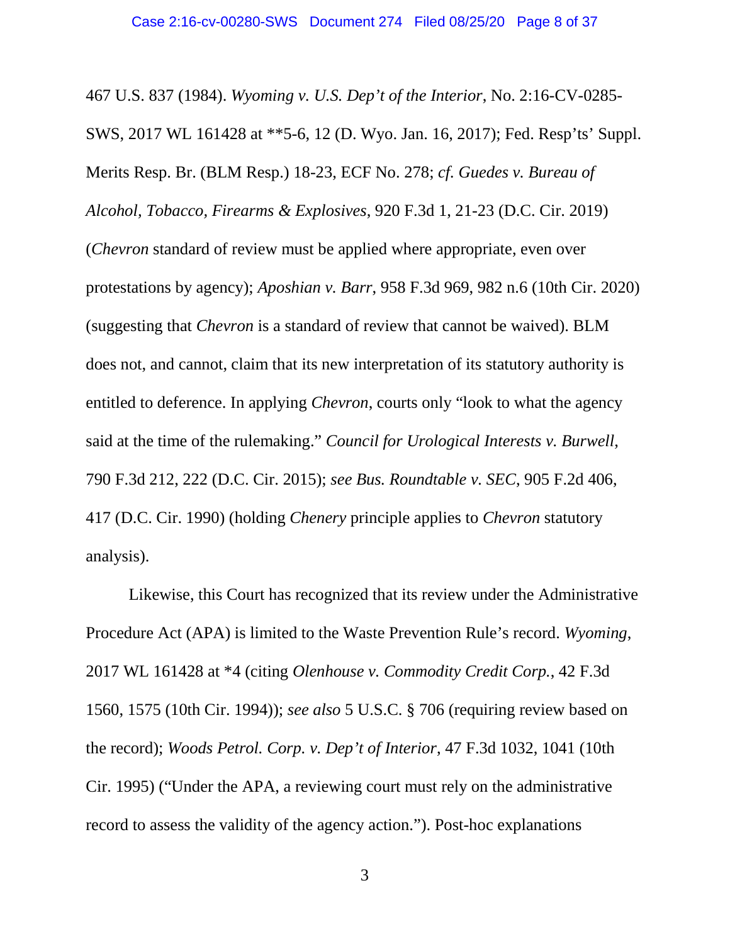467 U.S. 837 (1984). *Wyoming v. U.S. Dep't of the Interior*, No. 2:16-CV-0285- SWS, 2017 WL 161428 at \*\*5-6, 12 (D. Wyo. Jan. 16, 2017); Fed. Resp'ts' Suppl. Merits Resp. Br. (BLM Resp.) 18-23, ECF No. 278; *cf. Guedes v. Bureau of Alcohol, Tobacco, Firearms & Explosives*, 920 F.3d 1, 21-23 (D.C. Cir. 2019) (*Chevron* standard of review must be applied where appropriate, even over protestations by agency); *Aposhian v. Barr*, 958 F.3d 969, 982 n.6 (10th Cir. 2020) (suggesting that *Chevron* is a standard of review that cannot be waived). BLM does not, and cannot, claim that its new interpretation of its statutory authority is entitled to deference. In applying *Chevron*, courts only "look to what the agency said at the time of the rulemaking." *Council for Urological Interests v. Burwell*, 790 F.3d 212, 222 (D.C. Cir. 2015); *see Bus. Roundtable v. SEC*, 905 F.2d 406, 417 (D.C. Cir. 1990) (holding *Chenery* principle applies to *Chevron* statutory analysis).

Likewise, this Court has recognized that its review under the Administrative Procedure Act (APA) is limited to the Waste Prevention Rule's record. *Wyoming*, 2017 WL 161428 at \*4 (citing *Olenhouse v. Commodity Credit Corp.*, 42 F.3d 1560, 1575 (10th Cir. 1994)); *see also* 5 U.S.C. § 706 (requiring review based on the record); *Woods Petrol. Corp. v. Dep't of Interior*, 47 F.3d 1032, 1041 (10th Cir. 1995) ("Under the APA, a reviewing court must rely on the administrative record to assess the validity of the agency action."). Post-hoc explanations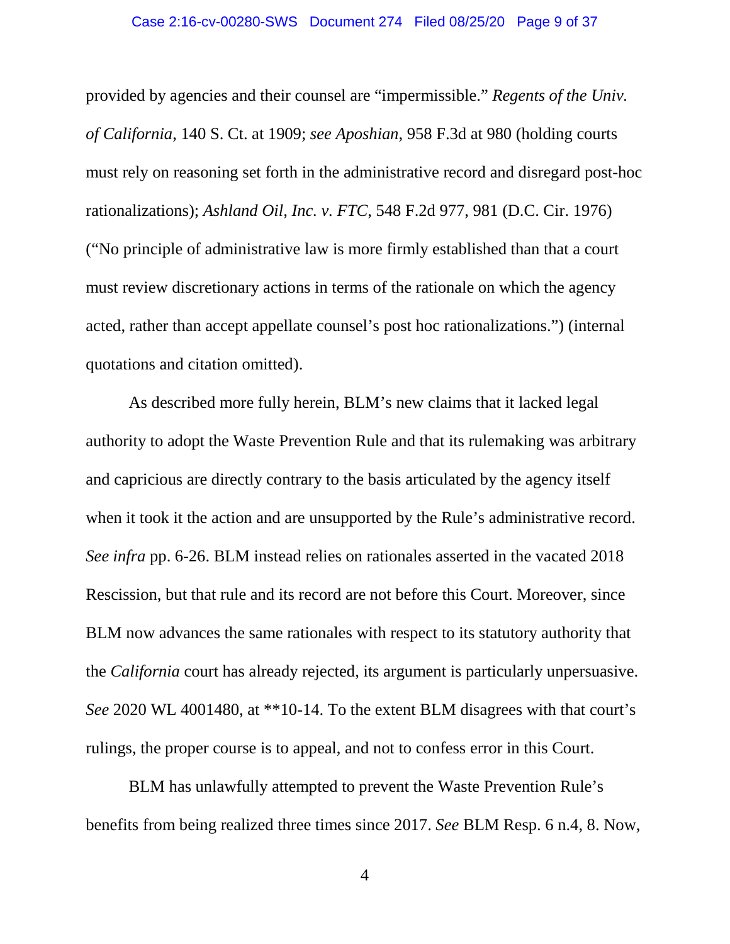#### Case 2:16-cv-00280-SWS Document 274 Filed 08/25/20 Page 9 of 37

provided by agencies and their counsel are "impermissible." *Regents of the Univ. of California*, 140 S. Ct. at 1909; *see Aposhian*, 958 F.3d at 980 (holding courts must rely on reasoning set forth in the administrative record and disregard post-hoc rationalizations); *Ashland Oil, Inc. v. FTC*, 548 F.2d 977, 981 (D.C. Cir. 1976) ("No principle of administrative law is more firmly established than that a court must review discretionary actions in terms of the rationale on which the agency acted, rather than accept appellate counsel's post hoc rationalizations.") (internal quotations and citation omitted).

As described more fully herein, BLM's new claims that it lacked legal authority to adopt the Waste Prevention Rule and that its rulemaking was arbitrary and capricious are directly contrary to the basis articulated by the agency itself when it took it the action and are unsupported by the Rule's administrative record. *See infra* pp. 6-26. BLM instead relies on rationales asserted in the vacated 2018 Rescission, but that rule and its record are not before this Court. Moreover, since BLM now advances the same rationales with respect to its statutory authority that the *California* court has already rejected, its argument is particularly unpersuasive. *See* 2020 WL 4001480, at \*\*10-14. To the extent BLM disagrees with that court's rulings, the proper course is to appeal, and not to confess error in this Court.

BLM has unlawfully attempted to prevent the Waste Prevention Rule's benefits from being realized three times since 2017. *See* BLM Resp. 6 n.4, 8. Now,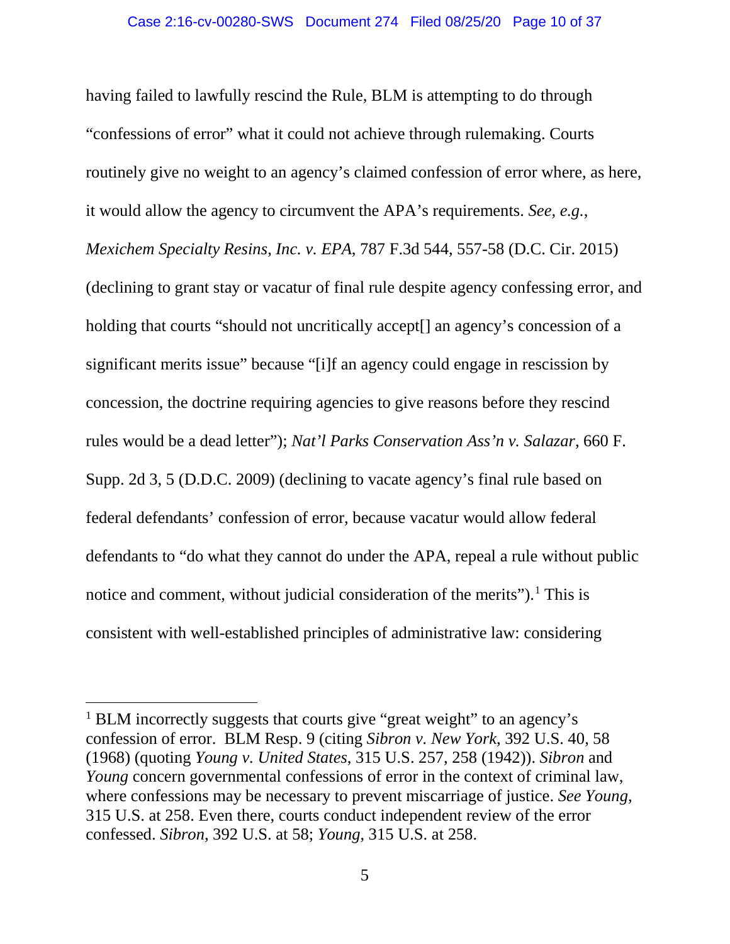having failed to lawfully rescind the Rule, BLM is attempting to do through "confessions of error" what it could not achieve through rulemaking. Courts routinely give no weight to an agency's claimed confession of error where, as here, it would allow the agency to circumvent the APA's requirements. *See, e.g.*, *Mexichem Specialty Resins, Inc. v. EPA*, 787 F.3d 544, 557-58 (D.C. Cir. 2015) (declining to grant stay or vacatur of final rule despite agency confessing error, and holding that courts "should not uncritically accept[] an agency's concession of a significant merits issue" because "[i]f an agency could engage in rescission by concession, the doctrine requiring agencies to give reasons before they rescind rules would be a dead letter"); *Nat'l Parks Conservation Ass'n v. Salazar*, 660 F. Supp. 2d 3, 5 (D.D.C. 2009) (declining to vacate agency's final rule based on federal defendants' confession of error, because vacatur would allow federal defendants to "do what they cannot do under the APA, repeal a rule without public notice and comment, without judicial consideration of the merits" $)$ .<sup>[1](#page-9-0)</sup> This is consistent with well-established principles of administrative law: considering

<span id="page-9-0"></span><sup>&</sup>lt;sup>1</sup> BLM incorrectly suggests that courts give "great weight" to an agency's confession of error. BLM Resp. 9 (citing *Sibron v. New York*, 392 U.S. 40, 58 (1968) (quoting *Young v. United States*, 315 U.S. 257, 258 (1942)). *Sibron* and *Young* concern governmental confessions of error in the context of criminal law, where confessions may be necessary to prevent miscarriage of justice. *See Young*, 315 U.S. at 258. Even there, courts conduct independent review of the error confessed. *Sibron*, 392 U.S. at 58; *Young*, 315 U.S. at 258.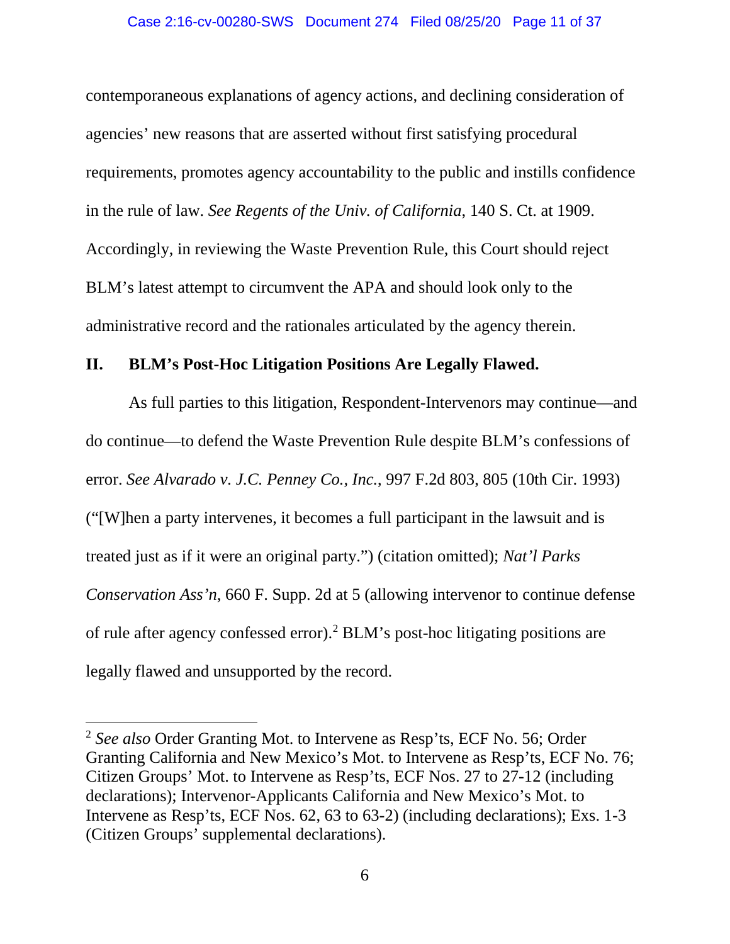contemporaneous explanations of agency actions, and declining consideration of agencies' new reasons that are asserted without first satisfying procedural requirements, promotes agency accountability to the public and instills confidence in the rule of law. *See Regents of the Univ. of California*, 140 S. Ct. at 1909. Accordingly, in reviewing the Waste Prevention Rule, this Court should reject BLM's latest attempt to circumvent the APA and should look only to the administrative record and the rationales articulated by the agency therein.

### **II. BLM's Post-Hoc Litigation Positions Are Legally Flawed.**

As full parties to this litigation, Respondent-Intervenors may continue—and do continue—to defend the Waste Prevention Rule despite BLM's confessions of error. *See Alvarado v. J.C. Penney Co., Inc.*, 997 F.2d 803, 805 (10th Cir. 1993) ("[W]hen a party intervenes, it becomes a full participant in the lawsuit and is treated just as if it were an original party.") (citation omitted); *Nat'l Parks Conservation Ass'n*, 660 F. Supp. 2d at 5 (allowing intervenor to continue defense of rule after agency confessed error). [2](#page-10-0) BLM's post-hoc litigating positions are legally flawed and unsupported by the record.

<span id="page-10-0"></span> <sup>2</sup> *See also* Order Granting Mot. to Intervene as Resp'ts, ECF No. 56; Order Granting California and New Mexico's Mot. to Intervene as Resp'ts, ECF No. 76; Citizen Groups' Mot. to Intervene as Resp'ts, ECF Nos. 27 to 27-12 (including declarations); Intervenor-Applicants California and New Mexico's Mot. to Intervene as Resp'ts, ECF Nos. 62, 63 to 63-2) (including declarations); Exs. 1-3 (Citizen Groups' supplemental declarations).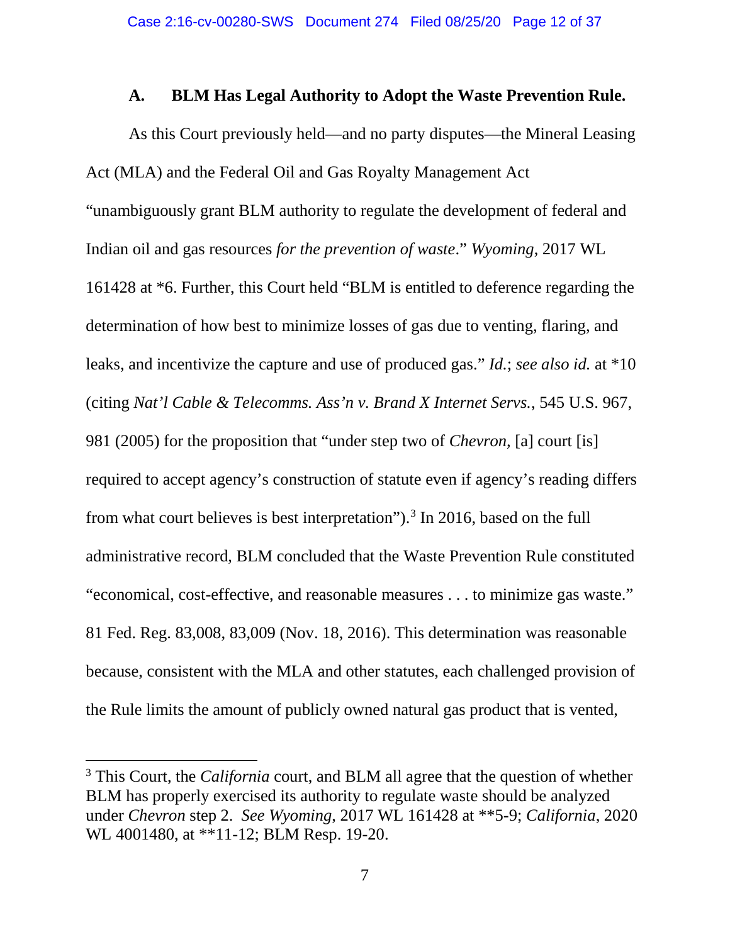### **A. BLM Has Legal Authority to Adopt the Waste Prevention Rule.**

As this Court previously held—and no party disputes—the Mineral Leasing Act (MLA) and the Federal Oil and Gas Royalty Management Act "unambiguously grant BLM authority to regulate the development of federal and Indian oil and gas resources *for the prevention of waste*." *Wyoming*, 2017 WL 161428 at \*6. Further, this Court held "BLM is entitled to deference regarding the determination of how best to minimize losses of gas due to venting, flaring, and leaks, and incentivize the capture and use of produced gas." *Id.*; *see also id.* at \*10 (citing *Nat'l Cable & Telecomms. Ass'n v. Brand X Internet Servs.*, 545 U.S. 967, 981 (2005) for the proposition that "under step two of *Chevron,* [a] court [is] required to accept agency's construction of statute even if agency's reading differs from what court believes is best interpretation"). [3](#page-11-0) In 2016, based on the full administrative record, BLM concluded that the Waste Prevention Rule constituted "economical, cost-effective, and reasonable measures . . . to minimize gas waste." 81 Fed. Reg. 83,008, 83,009 (Nov. 18, 2016). This determination was reasonable because, consistent with the MLA and other statutes, each challenged provision of the Rule limits the amount of publicly owned natural gas product that is vented,

<span id="page-11-0"></span> <sup>3</sup> This Court, the *California* court, and BLM all agree that the question of whether BLM has properly exercised its authority to regulate waste should be analyzed under *Chevron* step 2. *See Wyoming*, 2017 WL 161428 at \*\*5-9; *California*, 2020 WL 4001480, at \*\*11-12; BLM Resp. 19-20.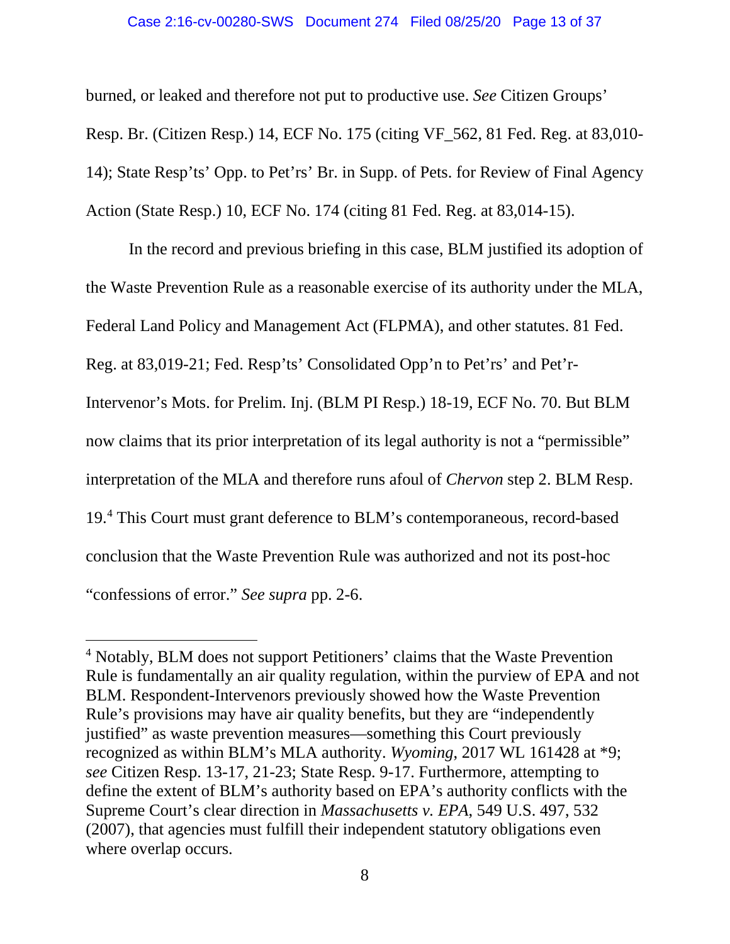#### Case 2:16-cv-00280-SWS Document 274 Filed 08/25/20 Page 13 of 37

burned, or leaked and therefore not put to productive use. *See* Citizen Groups' Resp. Br. (Citizen Resp.) 14, ECF No. 175 (citing VF\_562, 81 Fed. Reg. at 83,010- 14); State Resp'ts' Opp. to Pet'rs' Br. in Supp. of Pets. for Review of Final Agency Action (State Resp.) 10, ECF No. 174 (citing 81 Fed. Reg. at 83,014-15).

In the record and previous briefing in this case, BLM justified its adoption of the Waste Prevention Rule as a reasonable exercise of its authority under the MLA, Federal Land Policy and Management Act (FLPMA), and other statutes. 81 Fed. Reg. at 83,019-21; Fed. Resp'ts' Consolidated Opp'n to Pet'rs' and Pet'r-Intervenor's Mots. for Prelim. Inj. (BLM PI Resp.) 18-19, ECF No. 70. But BLM now claims that its prior interpretation of its legal authority is not a "permissible" interpretation of the MLA and therefore runs afoul of *Chervon* step 2. BLM Resp. 19. [4](#page-12-0) This Court must grant deference to BLM's contemporaneous, record-based conclusion that the Waste Prevention Rule was authorized and not its post-hoc "confessions of error." *See supra* pp. 2-6.

<span id="page-12-0"></span> <sup>4</sup> Notably, BLM does not support Petitioners' claims that the Waste Prevention Rule is fundamentally an air quality regulation, within the purview of EPA and not BLM. Respondent-Intervenors previously showed how the Waste Prevention Rule's provisions may have air quality benefits, but they are "independently justified" as waste prevention measures—something this Court previously recognized as within BLM's MLA authority. *Wyoming*, 2017 WL 161428 at \*9; *see* Citizen Resp. 13-17, 21-23; State Resp. 9-17. Furthermore, attempting to define the extent of BLM's authority based on EPA's authority conflicts with the Supreme Court's clear direction in *Massachusetts v. EPA*, 549 U.S. 497, 532 (2007), that agencies must fulfill their independent statutory obligations even where overlap occurs.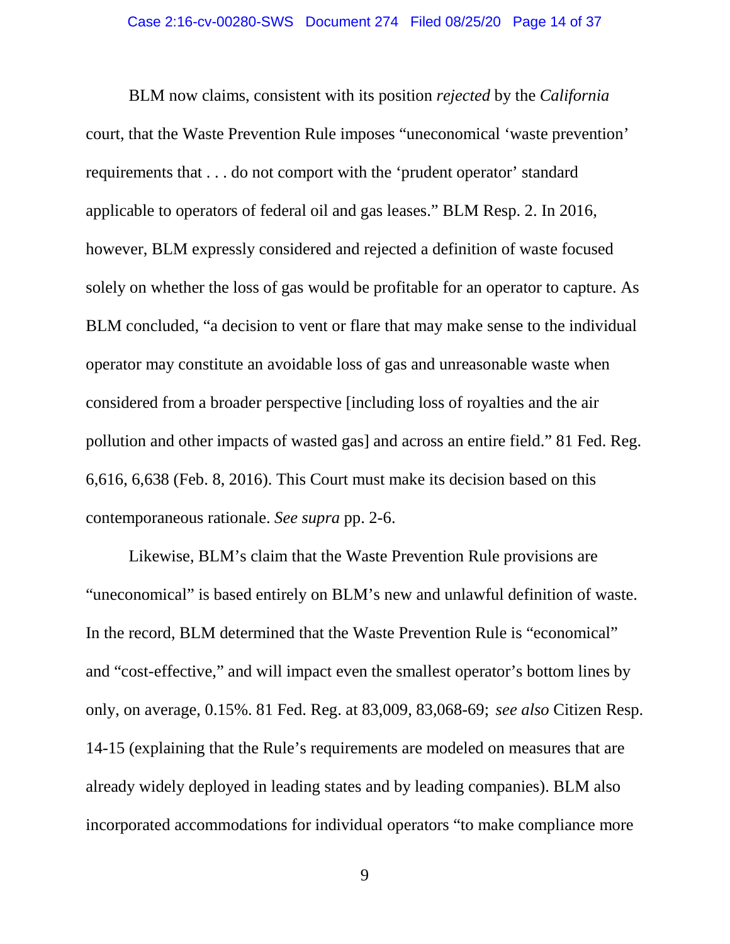BLM now claims, consistent with its position *rejected* by the *California* court, that the Waste Prevention Rule imposes "uneconomical 'waste prevention' requirements that . . . do not comport with the 'prudent operator' standard applicable to operators of federal oil and gas leases." BLM Resp. 2. In 2016, however, BLM expressly considered and rejected a definition of waste focused solely on whether the loss of gas would be profitable for an operator to capture. As BLM concluded, "a decision to vent or flare that may make sense to the individual operator may constitute an avoidable loss of gas and unreasonable waste when considered from a broader perspective [including loss of royalties and the air pollution and other impacts of wasted gas] and across an entire field." 81 Fed. Reg. 6,616, 6,638 (Feb. 8, 2016). This Court must make its decision based on this contemporaneous rationale. *See supra* pp. 2-6.

Likewise, BLM's claim that the Waste Prevention Rule provisions are "uneconomical" is based entirely on BLM's new and unlawful definition of waste. In the record, BLM determined that the Waste Prevention Rule is "economical" and "cost-effective," and will impact even the smallest operator's bottom lines by only, on average, 0.15%. 81 Fed. Reg. at 83,009, 83,068-69; *see also* Citizen Resp. 14-15 (explaining that the Rule's requirements are modeled on measures that are already widely deployed in leading states and by leading companies). BLM also incorporated accommodations for individual operators "to make compliance more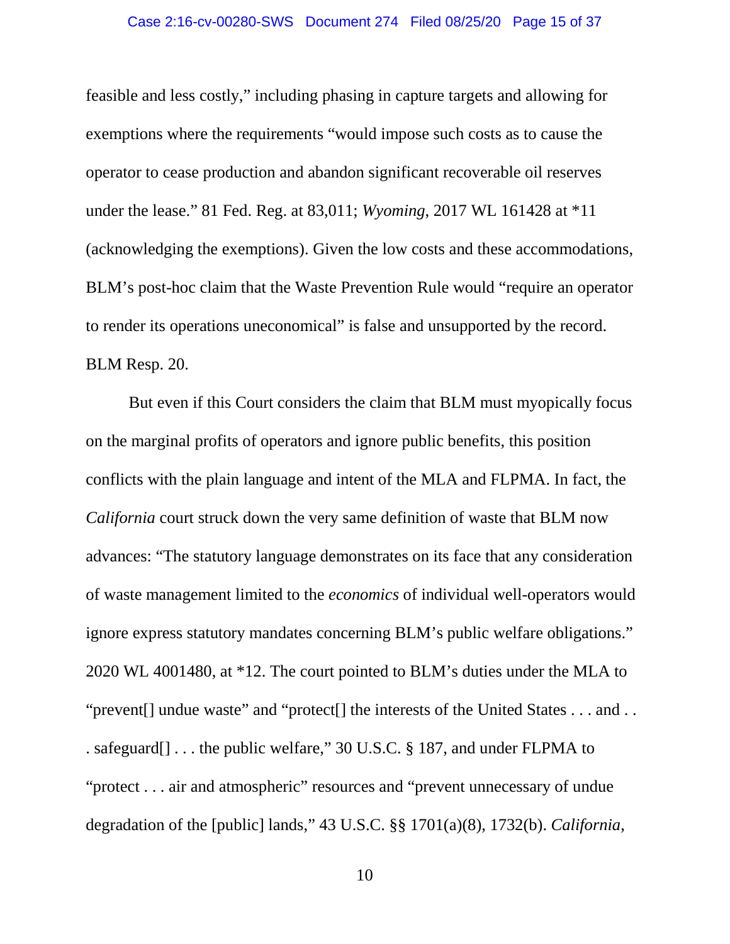feasible and less costly," including phasing in capture targets and allowing for exemptions where the requirements "would impose such costs as to cause the operator to cease production and abandon significant recoverable oil reserves under the lease." 81 Fed. Reg. at 83,011; *Wyoming*, 2017 WL 161428 at \*11 (acknowledging the exemptions). Given the low costs and these accommodations, BLM's post-hoc claim that the Waste Prevention Rule would "require an operator to render its operations uneconomical" is false and unsupported by the record. BLM Resp. 20.

But even if this Court considers the claim that BLM must myopically focus on the marginal profits of operators and ignore public benefits, this position conflicts with the plain language and intent of the MLA and FLPMA. In fact, the *California* court struck down the very same definition of waste that BLM now advances: "The statutory language demonstrates on its face that any consideration of waste management limited to the *economics* of individual well-operators would ignore express statutory mandates concerning BLM's public welfare obligations." 2020 WL 4001480, at \*12. The court pointed to BLM's duties under the MLA to "prevent[] undue waste" and "protect[] the interests of the United States . . . and . . . safeguard[] . . . the public welfare," 30 U.S.C. § 187, and under FLPMA to "protect . . . air and atmospheric" resources and "prevent unnecessary of undue degradation of the [public] lands," 43 U.S.C. §§ 1701(a)(8), 1732(b). *California*,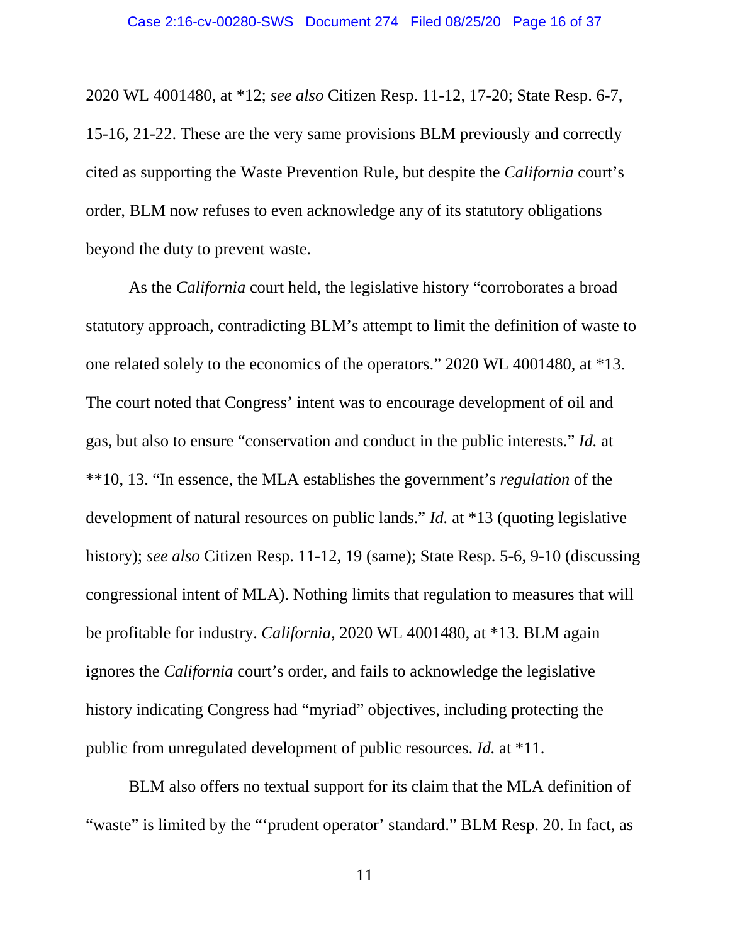2020 WL 4001480, at \*12; *see also* Citizen Resp. 11-12, 17-20; State Resp. 6-7, 15-16, 21-22. These are the very same provisions BLM previously and correctly cited as supporting the Waste Prevention Rule, but despite the *California* court's order, BLM now refuses to even acknowledge any of its statutory obligations beyond the duty to prevent waste.

As the *California* court held, the legislative history "corroborates a broad statutory approach, contradicting BLM's attempt to limit the definition of waste to one related solely to the economics of the operators." 2020 WL 4001480, at \*13. The court noted that Congress' intent was to encourage development of oil and gas, but also to ensure "conservation and conduct in the public interests." *Id.* at \*\*10, 13. "In essence, the MLA establishes the government's *regulation* of the development of natural resources on public lands." *Id.* at \*13 (quoting legislative history); *see also* Citizen Resp. 11-12, 19 (same); State Resp. 5-6, 9-10 (discussing congressional intent of MLA). Nothing limits that regulation to measures that will be profitable for industry. *California*, 2020 WL 4001480, at \*13. BLM again ignores the *California* court's order, and fails to acknowledge the legislative history indicating Congress had "myriad" objectives, including protecting the public from unregulated development of public resources. *Id.* at \*11.

BLM also offers no textual support for its claim that the MLA definition of "waste" is limited by the ""prudent operator" standard." BLM Resp. 20. In fact, as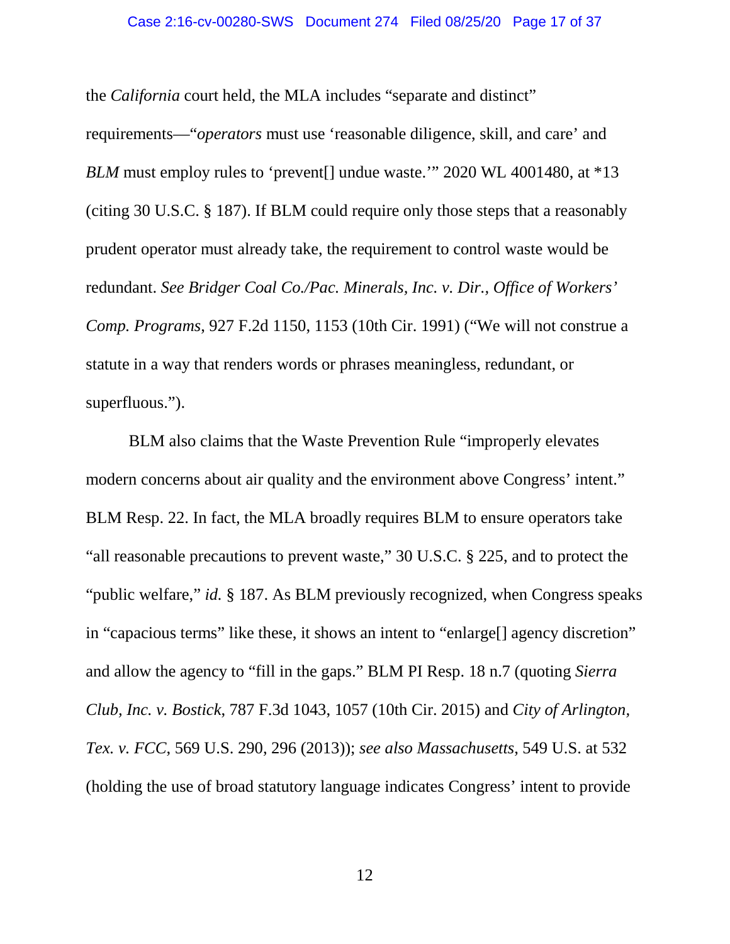the *California* court held, the MLA includes "separate and distinct" requirements—"*operators* must use 'reasonable diligence, skill, and care' and *BLM* must employ rules to 'prevent<sup>[]</sup> undue waste.'" 2020 WL 4001480, at \*13 (citing 30 U.S.C. § 187). If BLM could require only those steps that a reasonably prudent operator must already take, the requirement to control waste would be redundant. *See Bridger Coal Co./Pac. Minerals, Inc. v. Dir., Office of Workers' Comp. Programs*, 927 F.2d 1150, 1153 (10th Cir. 1991) ("We will not construe a statute in a way that renders words or phrases meaningless, redundant, or superfluous.").

BLM also claims that the Waste Prevention Rule "improperly elevates modern concerns about air quality and the environment above Congress' intent." BLM Resp. 22. In fact, the MLA broadly requires BLM to ensure operators take "all reasonable precautions to prevent waste," 30 U.S.C. § 225, and to protect the "public welfare," *id.* § 187. As BLM previously recognized, when Congress speaks in "capacious terms" like these, it shows an intent to "enlarge[] agency discretion" and allow the agency to "fill in the gaps." BLM PI Resp. 18 n.7 (quoting *Sierra Club, Inc. v. Bostick*, 787 F.3d 1043, 1057 (10th Cir. 2015) and *City of Arlington, Tex. v. FCC*, 569 U.S. 290, 296 (2013)); *see also Massachusetts*, 549 U.S. at 532 (holding the use of broad statutory language indicates Congress' intent to provide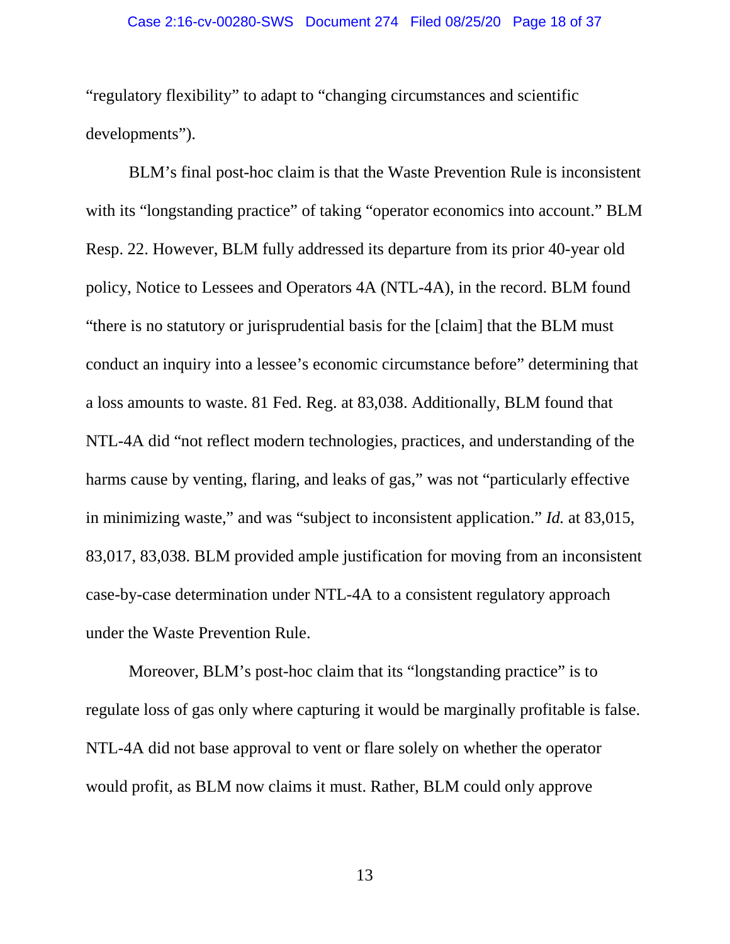"regulatory flexibility" to adapt to "changing circumstances and scientific developments").

BLM's final post-hoc claim is that the Waste Prevention Rule is inconsistent with its "longstanding practice" of taking "operator economics into account." BLM Resp. 22. However, BLM fully addressed its departure from its prior 40-year old policy, Notice to Lessees and Operators 4A (NTL-4A), in the record. BLM found "there is no statutory or jurisprudential basis for the [claim] that the BLM must conduct an inquiry into a lessee's economic circumstance before" determining that a loss amounts to waste. 81 Fed. Reg. at 83,038. Additionally, BLM found that NTL-4A did "not reflect modern technologies, practices, and understanding of the harms cause by venting, flaring, and leaks of gas," was not "particularly effective in minimizing waste," and was "subject to inconsistent application." *Id.* at 83,015, 83,017, 83,038. BLM provided ample justification for moving from an inconsistent case-by-case determination under NTL-4A to a consistent regulatory approach under the Waste Prevention Rule.

Moreover, BLM's post-hoc claim that its "longstanding practice" is to regulate loss of gas only where capturing it would be marginally profitable is false. NTL-4A did not base approval to vent or flare solely on whether the operator would profit, as BLM now claims it must. Rather, BLM could only approve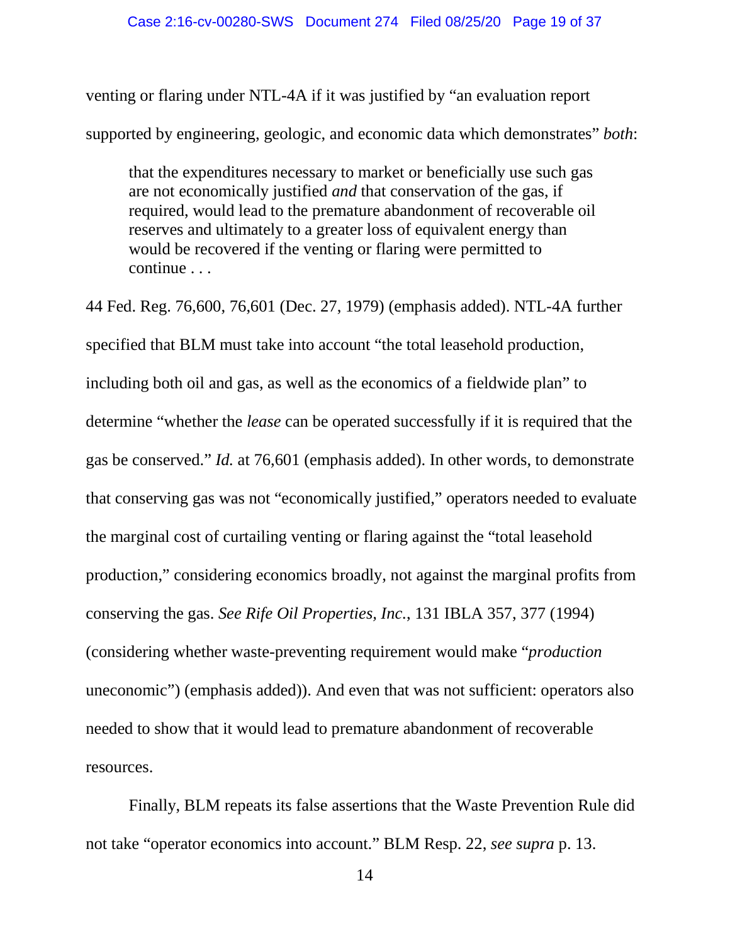venting or flaring under NTL-4A if it was justified by "an evaluation report supported by engineering, geologic, and economic data which demonstrates" *both*:

that the expenditures necessary to market or beneficially use such gas are not economically justified *and* that conservation of the gas, if required, would lead to the premature abandonment of recoverable oil reserves and ultimately to a greater loss of equivalent energy than would be recovered if the venting or flaring were permitted to continue . . .

44 Fed. Reg. 76,600, 76,601 (Dec. 27, 1979) (emphasis added). NTL-4A further specified that BLM must take into account "the total leasehold production, including both oil and gas, as well as the economics of a fieldwide plan" to determine "whether the *lease* can be operated successfully if it is required that the gas be conserved." *Id.* at 76,601 (emphasis added). In other words, to demonstrate that conserving gas was not "economically justified," operators needed to evaluate the marginal cost of curtailing venting or flaring against the "total leasehold production," considering economics broadly, not against the marginal profits from conserving the gas. *See Rife Oil Properties, Inc.*, 131 IBLA 357, 377 (1994) (considering whether waste-preventing requirement would make "*production*  uneconomic") (emphasis added)). And even that was not sufficient: operators also needed to show that it would lead to premature abandonment of recoverable resources.

Finally, BLM repeats its false assertions that the Waste Prevention Rule did not take "operator economics into account." BLM Resp. 22, *see supra* p. 13.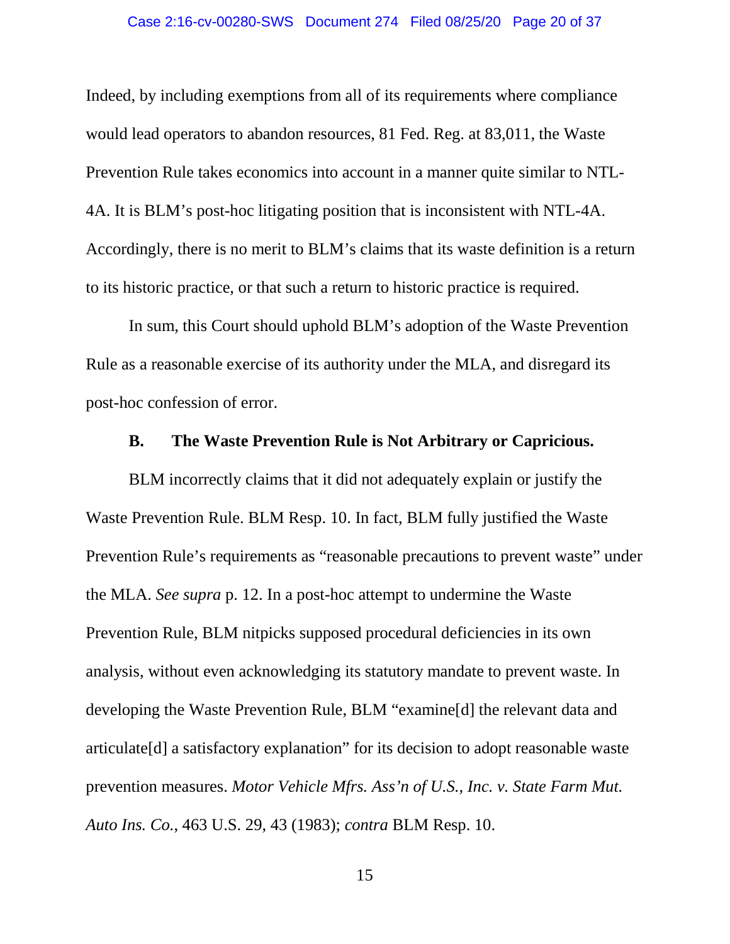Indeed, by including exemptions from all of its requirements where compliance would lead operators to abandon resources, 81 Fed. Reg. at 83,011, the Waste Prevention Rule takes economics into account in a manner quite similar to NTL-4A. It is BLM's post-hoc litigating position that is inconsistent with NTL-4A. Accordingly, there is no merit to BLM's claims that its waste definition is a return to its historic practice, or that such a return to historic practice is required.

In sum, this Court should uphold BLM's adoption of the Waste Prevention Rule as a reasonable exercise of its authority under the MLA, and disregard its post-hoc confession of error.

#### **B. The Waste Prevention Rule is Not Arbitrary or Capricious.**

BLM incorrectly claims that it did not adequately explain or justify the Waste Prevention Rule. BLM Resp. 10. In fact, BLM fully justified the Waste Prevention Rule's requirements as "reasonable precautions to prevent waste" under the MLA. *See supra* p. 12. In a post-hoc attempt to undermine the Waste Prevention Rule, BLM nitpicks supposed procedural deficiencies in its own analysis, without even acknowledging its statutory mandate to prevent waste. In developing the Waste Prevention Rule, BLM "examine[d] the relevant data and articulate[d] a satisfactory explanation" for its decision to adopt reasonable waste prevention measures. *Motor Vehicle Mfrs. Ass'n of U.S., Inc. v. State Farm Mut. Auto Ins. Co.*, 463 U.S. 29, 43 (1983); *contra* BLM Resp. 10.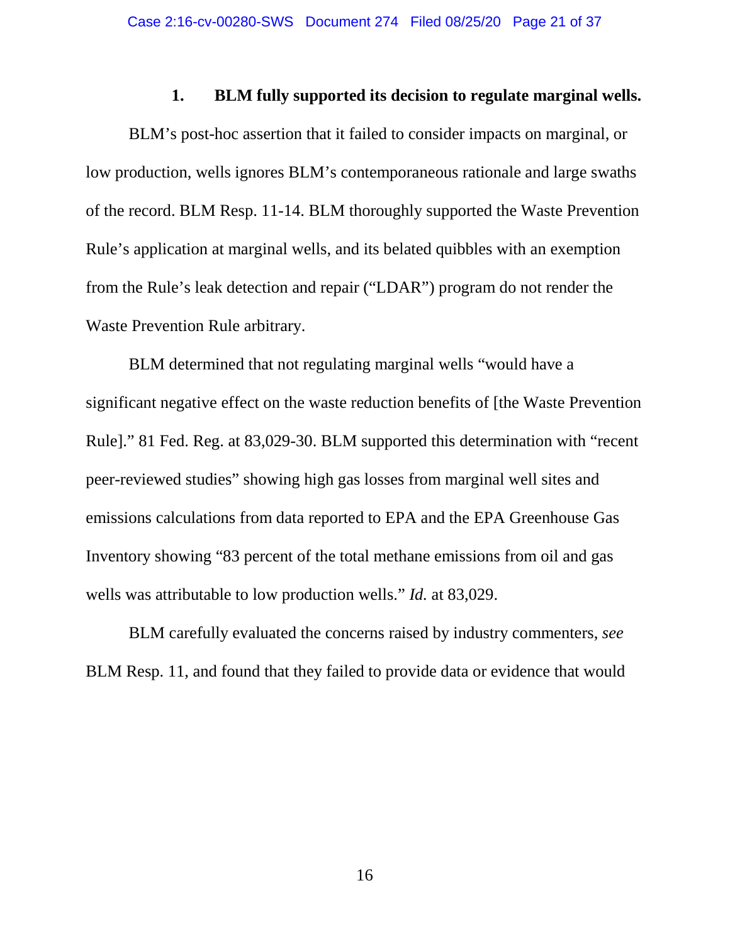#### **1. BLM fully supported its decision to regulate marginal wells.**

BLM's post-hoc assertion that it failed to consider impacts on marginal, or low production, wells ignores BLM's contemporaneous rationale and large swaths of the record. BLM Resp. 11-14. BLM thoroughly supported the Waste Prevention Rule's application at marginal wells, and its belated quibbles with an exemption from the Rule's leak detection and repair ("LDAR") program do not render the Waste Prevention Rule arbitrary.

BLM determined that not regulating marginal wells "would have a significant negative effect on the waste reduction benefits of [the Waste Prevention Rule]." 81 Fed. Reg. at 83,029-30. BLM supported this determination with "recent peer-reviewed studies" showing high gas losses from marginal well sites and emissions calculations from data reported to EPA and the EPA Greenhouse Gas Inventory showing "83 percent of the total methane emissions from oil and gas wells was attributable to low production wells." *Id.* at 83,029.

BLM carefully evaluated the concerns raised by industry commenters, *see*  BLM Resp. 11, and found that they failed to provide data or evidence that would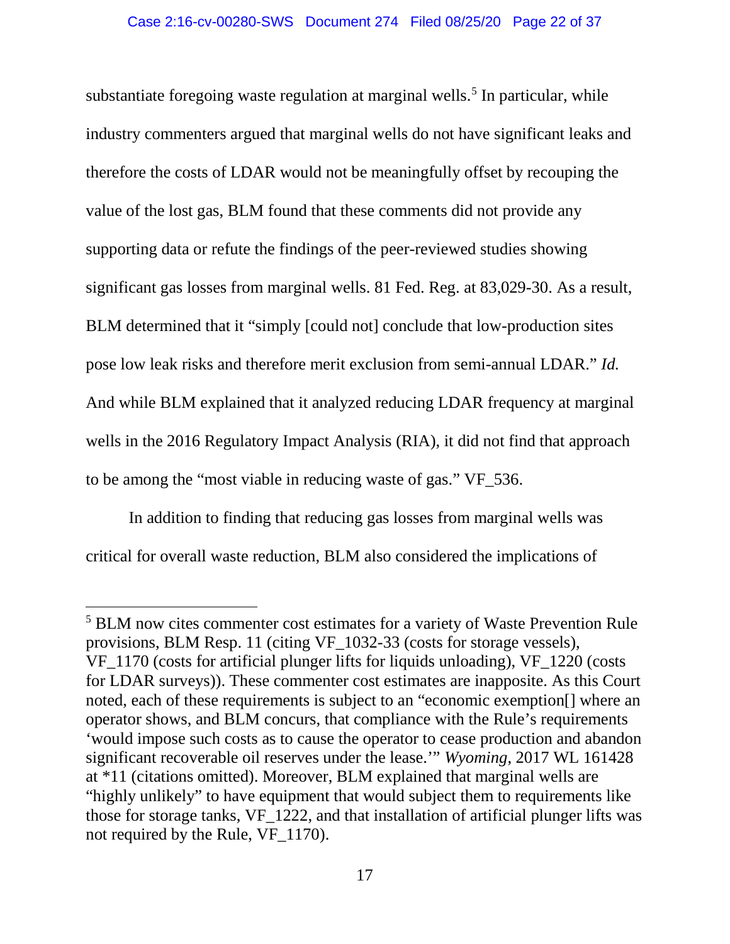substantiate foregoing waste regulation at marginal wells.<sup>[5](#page-21-0)</sup> In particular, while industry commenters argued that marginal wells do not have significant leaks and therefore the costs of LDAR would not be meaningfully offset by recouping the value of the lost gas, BLM found that these comments did not provide any supporting data or refute the findings of the peer-reviewed studies showing significant gas losses from marginal wells. 81 Fed. Reg. at 83,029-30. As a result, BLM determined that it "simply [could not] conclude that low-production sites pose low leak risks and therefore merit exclusion from semi-annual LDAR." *Id.* And while BLM explained that it analyzed reducing LDAR frequency at marginal wells in the 2016 Regulatory Impact Analysis (RIA), it did not find that approach to be among the "most viable in reducing waste of gas." VF\_536.

In addition to finding that reducing gas losses from marginal wells was critical for overall waste reduction, BLM also considered the implications of

<span id="page-21-0"></span><sup>&</sup>lt;sup>5</sup> BLM now cites commenter cost estimates for a variety of Waste Prevention Rule provisions, BLM Resp. 11 (citing VF\_1032-33 (costs for storage vessels), VF\_1170 (costs for artificial plunger lifts for liquids unloading), VF\_1220 (costs for LDAR surveys)). These commenter cost estimates are inapposite. As this Court noted, each of these requirements is subject to an "economic exemption[] where an operator shows, and BLM concurs, that compliance with the Rule's requirements 'would impose such costs as to cause the operator to cease production and abandon significant recoverable oil reserves under the lease.'" *Wyoming*, 2017 WL 161428 at \*11 (citations omitted). Moreover, BLM explained that marginal wells are "highly unlikely" to have equipment that would subject them to requirements like those for storage tanks, VF\_1222, and that installation of artificial plunger lifts was not required by the Rule, VF\_1170).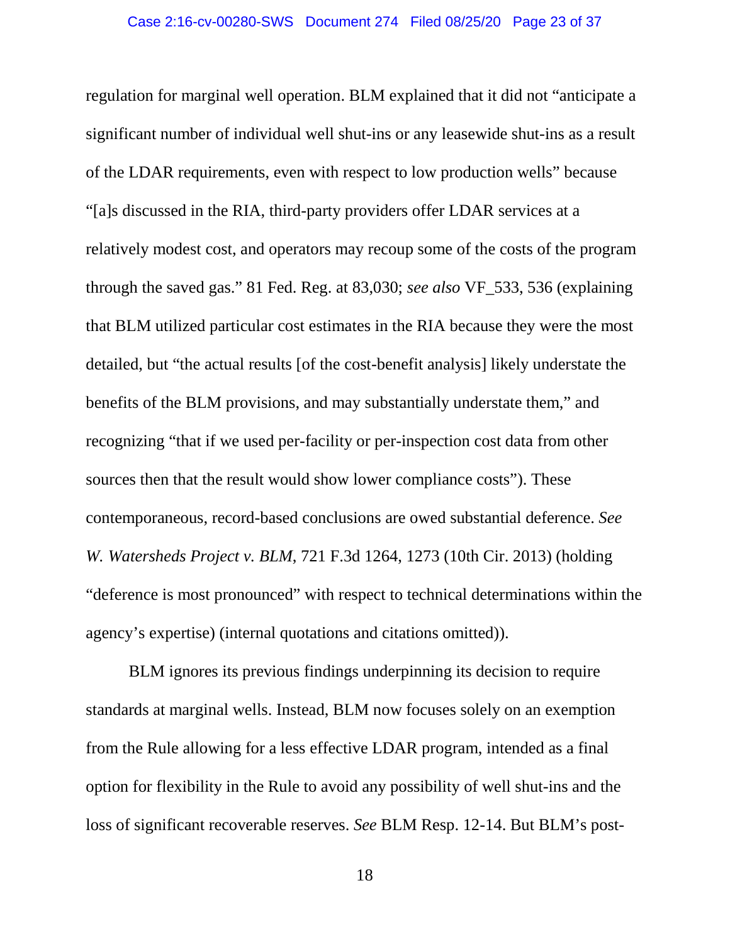regulation for marginal well operation. BLM explained that it did not "anticipate a significant number of individual well shut-ins or any leasewide shut-ins as a result of the LDAR requirements, even with respect to low production wells" because "[a]s discussed in the RIA, third-party providers offer LDAR services at a relatively modest cost, and operators may recoup some of the costs of the program through the saved gas." 81 Fed. Reg. at 83,030; *see also* VF\_533, 536 (explaining that BLM utilized particular cost estimates in the RIA because they were the most detailed, but "the actual results [of the cost-benefit analysis] likely understate the benefits of the BLM provisions, and may substantially understate them," and recognizing "that if we used per-facility or per-inspection cost data from other sources then that the result would show lower compliance costs"). These contemporaneous, record-based conclusions are owed substantial deference. *See W. Watersheds Project v. BLM*, 721 F.3d 1264, 1273 (10th Cir. 2013) (holding "deference is most pronounced" with respect to technical determinations within the agency's expertise) (internal quotations and citations omitted)).

BLM ignores its previous findings underpinning its decision to require standards at marginal wells. Instead, BLM now focuses solely on an exemption from the Rule allowing for a less effective LDAR program, intended as a final option for flexibility in the Rule to avoid any possibility of well shut-ins and the loss of significant recoverable reserves. *See* BLM Resp. 12-14. But BLM's post-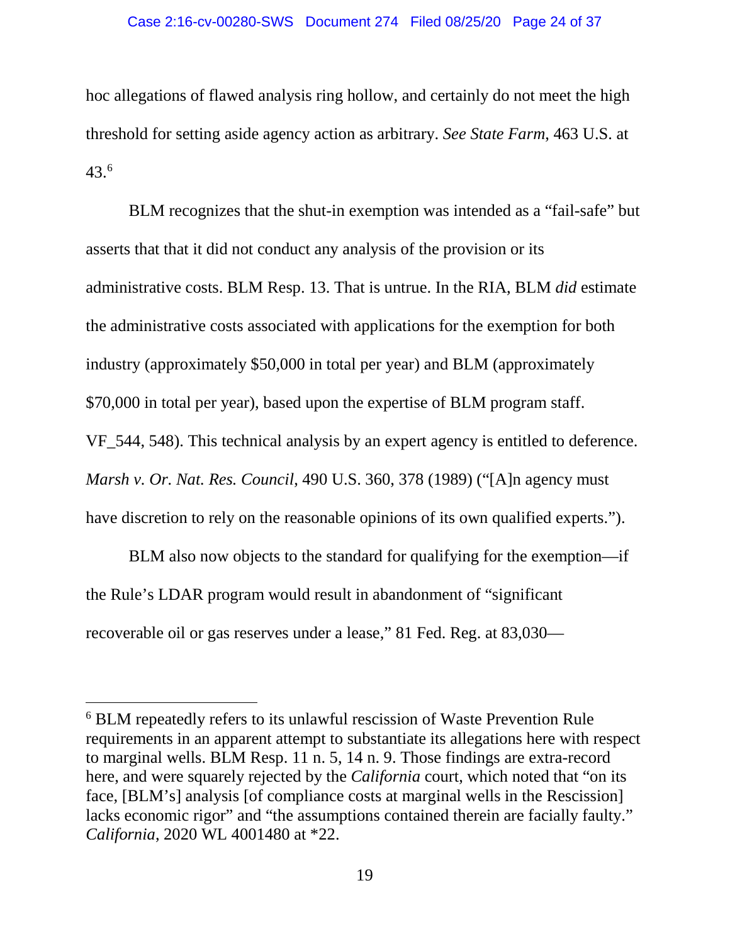#### Case 2:16-cv-00280-SWS Document 274 Filed 08/25/20 Page 24 of 37

hoc allegations of flawed analysis ring hollow, and certainly do not meet the high threshold for setting aside agency action as arbitrary. *See State Farm*, 463 U.S. at 43.[6](#page-23-0)

BLM recognizes that the shut-in exemption was intended as a "fail-safe" but asserts that that it did not conduct any analysis of the provision or its administrative costs. BLM Resp. 13. That is untrue. In the RIA, BLM *did* estimate the administrative costs associated with applications for the exemption for both industry (approximately \$50,000 in total per year) and BLM (approximately \$70,000 in total per year), based upon the expertise of BLM program staff. VF\_544, 548). This technical analysis by an expert agency is entitled to deference. *Marsh v. Or. Nat. Res. Council*, 490 U.S. 360, 378 (1989) ("[A]n agency must have discretion to rely on the reasonable opinions of its own qualified experts.").

BLM also now objects to the standard for qualifying for the exemption—if the Rule's LDAR program would result in abandonment of "significant recoverable oil or gas reserves under a lease," 81 Fed. Reg. at 83,030—

<span id="page-23-0"></span> <sup>6</sup> BLM repeatedly refers to its unlawful rescission of Waste Prevention Rule requirements in an apparent attempt to substantiate its allegations here with respect to marginal wells. BLM Resp. 11 n. 5, 14 n. 9. Those findings are extra-record here, and were squarely rejected by the *California* court, which noted that "on its face, [BLM's] analysis [of compliance costs at marginal wells in the Rescission] lacks economic rigor" and "the assumptions contained therein are facially faulty." *California*, 2020 WL 4001480 at \*22.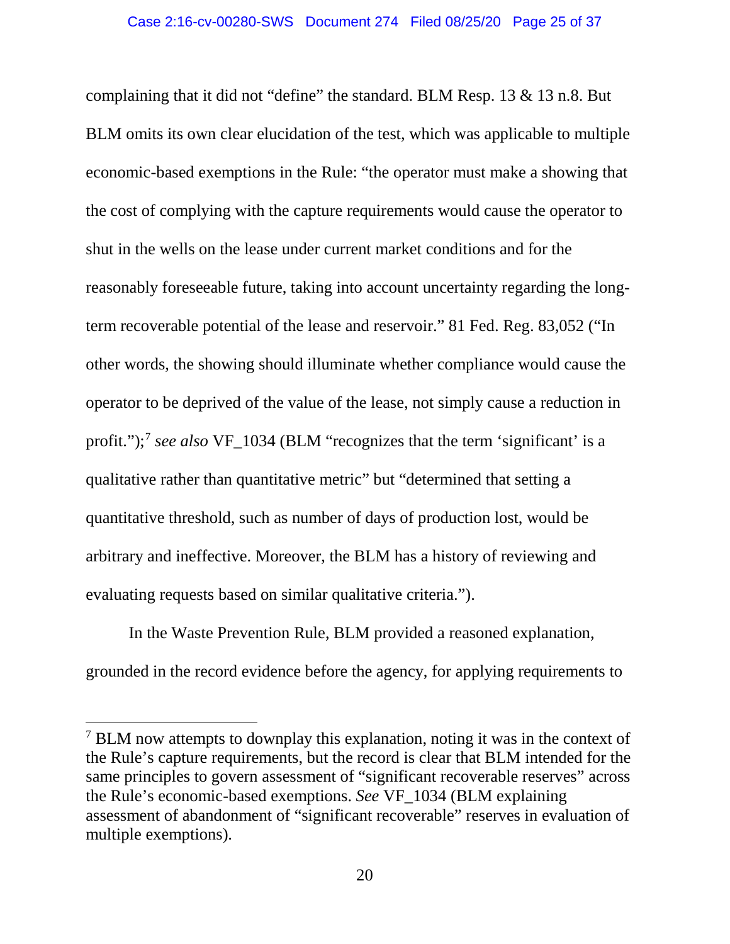complaining that it did not "define" the standard. BLM Resp. 13 & 13 n.8. But BLM omits its own clear elucidation of the test, which was applicable to multiple economic-based exemptions in the Rule: "the operator must make a showing that the cost of complying with the capture requirements would cause the operator to shut in the wells on the lease under current market conditions and for the reasonably foreseeable future, taking into account uncertainty regarding the longterm recoverable potential of the lease and reservoir." 81 Fed. Reg. 83,052 ("In other words, the showing should illuminate whether compliance would cause the operator to be deprived of the value of the lease, not simply cause a reduction in profit.");<sup>[7](#page-24-0)</sup> see also VF\_1034 (BLM "recognizes that the term 'significant' is a qualitative rather than quantitative metric" but "determined that setting a quantitative threshold, such as number of days of production lost, would be arbitrary and ineffective. Moreover, the BLM has a history of reviewing and evaluating requests based on similar qualitative criteria.").

In the Waste Prevention Rule, BLM provided a reasoned explanation, grounded in the record evidence before the agency, for applying requirements to

<span id="page-24-0"></span><sup>&</sup>lt;sup>7</sup> BLM now attempts to downplay this explanation, noting it was in the context of the Rule's capture requirements, but the record is clear that BLM intended for the same principles to govern assessment of "significant recoverable reserves" across the Rule's economic-based exemptions. *See* VF\_1034 (BLM explaining assessment of abandonment of "significant recoverable" reserves in evaluation of multiple exemptions).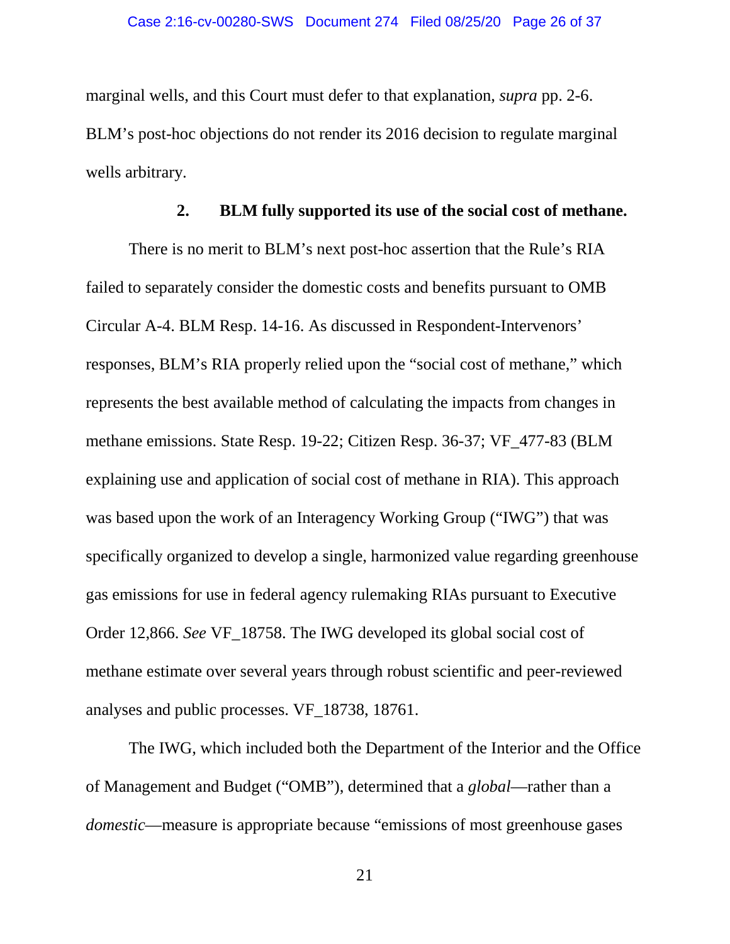marginal wells, and this Court must defer to that explanation, *supra* pp. 2-6. BLM's post-hoc objections do not render its 2016 decision to regulate marginal wells arbitrary.

### **2. BLM fully supported its use of the social cost of methane.**

There is no merit to BLM's next post-hoc assertion that the Rule's RIA failed to separately consider the domestic costs and benefits pursuant to OMB Circular A-4. BLM Resp. 14-16. As discussed in Respondent-Intervenors' responses, BLM's RIA properly relied upon the "social cost of methane," which represents the best available method of calculating the impacts from changes in methane emissions. State Resp. 19-22; Citizen Resp. 36-37; VF\_477-83 (BLM explaining use and application of social cost of methane in RIA). This approach was based upon the work of an Interagency Working Group ("IWG") that was specifically organized to develop a single, harmonized value regarding greenhouse gas emissions for use in federal agency rulemaking RIAs pursuant to Executive Order 12,866. *See* VF\_18758. The IWG developed its global social cost of methane estimate over several years through robust scientific and peer-reviewed analyses and public processes. VF\_18738, 18761.

The IWG, which included both the Department of the Interior and the Office of Management and Budget ("OMB"), determined that a *global*—rather than a *domestic*—measure is appropriate because "emissions of most greenhouse gases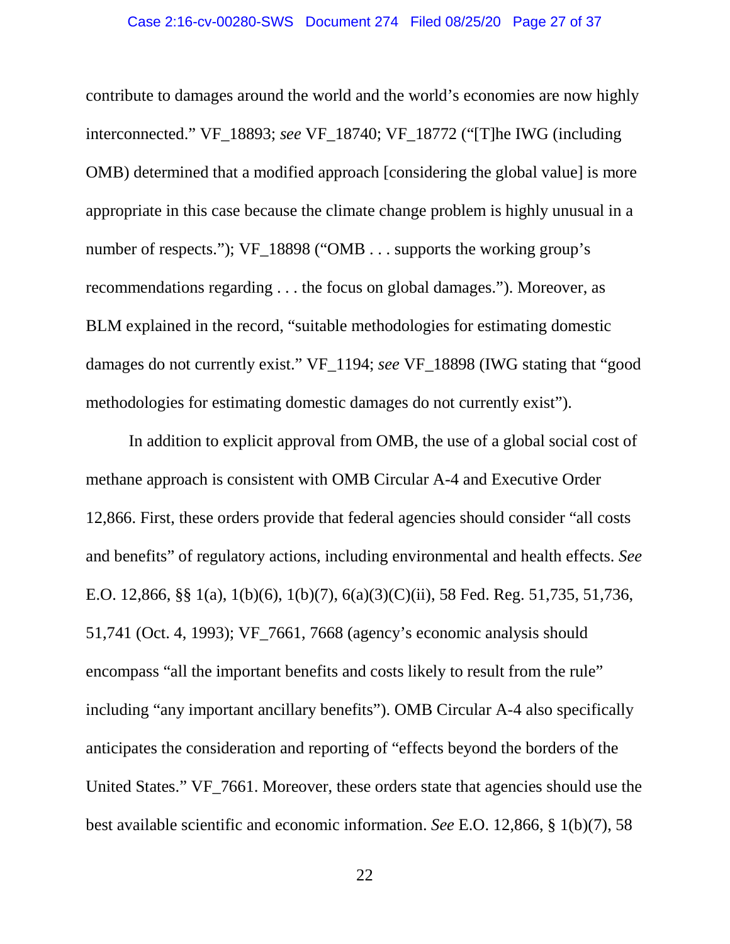contribute to damages around the world and the world's economies are now highly interconnected." VF\_18893; *see* VF\_18740; VF\_18772 ("[T]he IWG (including OMB) determined that a modified approach [considering the global value] is more appropriate in this case because the climate change problem is highly unusual in a number of respects."); VF\_18898 ("OMB . . . supports the working group's recommendations regarding . . . the focus on global damages."). Moreover, as BLM explained in the record, "suitable methodologies for estimating domestic damages do not currently exist." VF\_1194; *see* VF\_18898 (IWG stating that "good methodologies for estimating domestic damages do not currently exist").

In addition to explicit approval from OMB, the use of a global social cost of methane approach is consistent with OMB Circular A-4 and Executive Order 12,866. First, these orders provide that federal agencies should consider "all costs and benefits" of regulatory actions, including environmental and health effects. *See*  E.O. 12,866, §§ 1(a), 1(b)(6), 1(b)(7), 6(a)(3)(C)(ii), 58 Fed. Reg. 51,735, 51,736, 51,741 (Oct. 4, 1993); VF\_7661, 7668 (agency's economic analysis should encompass "all the important benefits and costs likely to result from the rule" including "any important ancillary benefits"). OMB Circular A-4 also specifically anticipates the consideration and reporting of "effects beyond the borders of the United States." VF 7661. Moreover, these orders state that agencies should use the best available scientific and economic information. *See* E.O. 12,866, § 1(b)(7), 58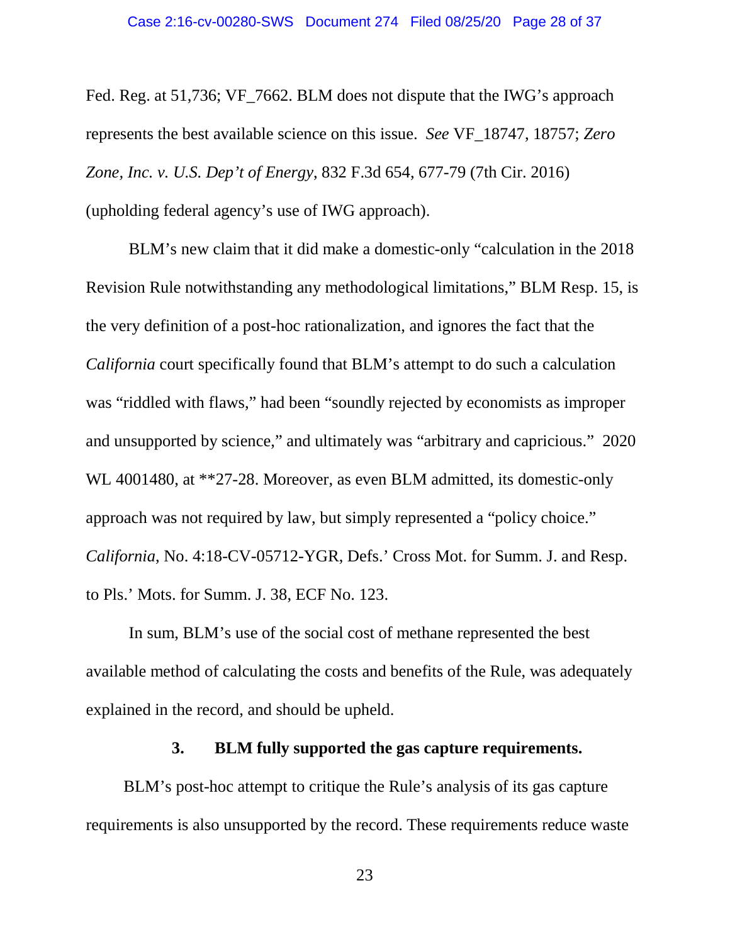Fed. Reg. at 51,736; VF\_7662. BLM does not dispute that the IWG's approach represents the best available science on this issue. *See* VF\_18747, 18757; *Zero Zone, Inc. v. U.S. Dep't of Energy*, 832 F.3d 654, 677-79 (7th Cir. 2016) (upholding federal agency's use of IWG approach).

BLM's new claim that it did make a domestic-only "calculation in the 2018 Revision Rule notwithstanding any methodological limitations," BLM Resp. 15, is the very definition of a post-hoc rationalization, and ignores the fact that the *California* court specifically found that BLM's attempt to do such a calculation was "riddled with flaws," had been "soundly rejected by economists as improper and unsupported by science," and ultimately was "arbitrary and capricious." 2020 WL 4001480, at \*\*27-28. Moreover, as even BLM admitted, its domestic-only approach was not required by law, but simply represented a "policy choice." *California*, No. 4:18-CV-05712-YGR, Defs.' Cross Mot. for Summ. J. and Resp. to Pls.' Mots. for Summ. J. 38, ECF No. 123.

In sum, BLM's use of the social cost of methane represented the best available method of calculating the costs and benefits of the Rule, was adequately explained in the record, and should be upheld.

### **3. BLM fully supported the gas capture requirements.**

BLM's post-hoc attempt to critique the Rule's analysis of its gas capture requirements is also unsupported by the record. These requirements reduce waste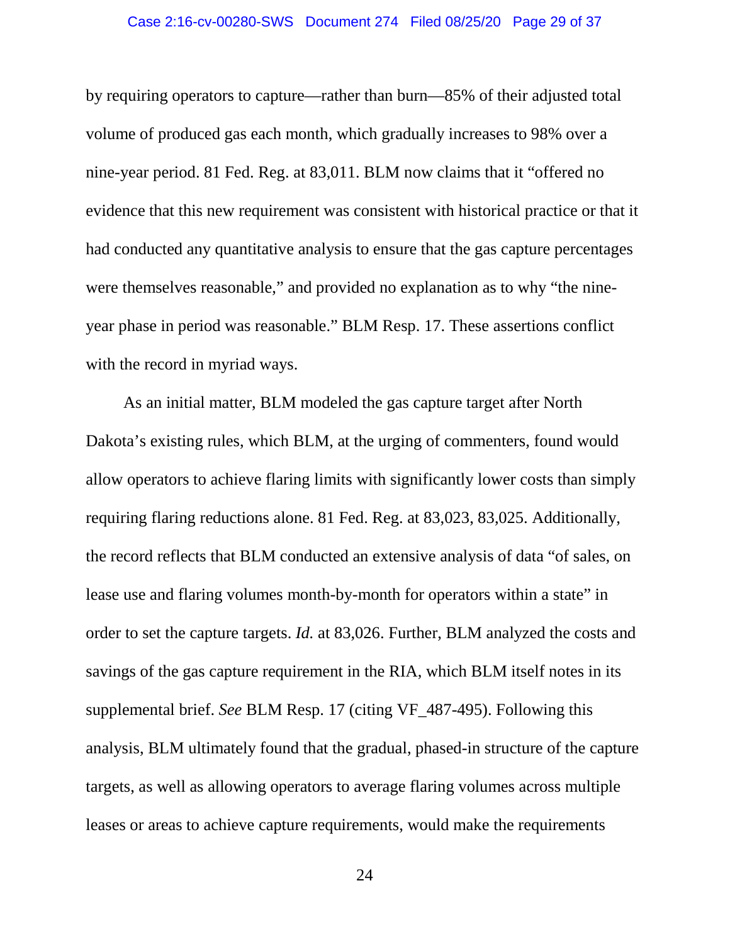#### Case 2:16-cv-00280-SWS Document 274 Filed 08/25/20 Page 29 of 37

by requiring operators to capture—rather than burn—85% of their adjusted total volume of produced gas each month, which gradually increases to 98% over a nine-year period. 81 Fed. Reg. at 83,011. BLM now claims that it "offered no evidence that this new requirement was consistent with historical practice or that it had conducted any quantitative analysis to ensure that the gas capture percentages were themselves reasonable," and provided no explanation as to why "the nineyear phase in period was reasonable." BLM Resp. 17. These assertions conflict with the record in myriad ways.

As an initial matter, BLM modeled the gas capture target after North Dakota's existing rules, which BLM, at the urging of commenters, found would allow operators to achieve flaring limits with significantly lower costs than simply requiring flaring reductions alone. 81 Fed. Reg. at 83,023, 83,025. Additionally, the record reflects that BLM conducted an extensive analysis of data "of sales, on lease use and flaring volumes month-by-month for operators within a state" in order to set the capture targets. *Id.* at 83,026. Further, BLM analyzed the costs and savings of the gas capture requirement in the RIA, which BLM itself notes in its supplemental brief. *See* BLM Resp. 17 (citing VF\_487-495). Following this analysis, BLM ultimately found that the gradual, phased-in structure of the capture targets, as well as allowing operators to average flaring volumes across multiple leases or areas to achieve capture requirements, would make the requirements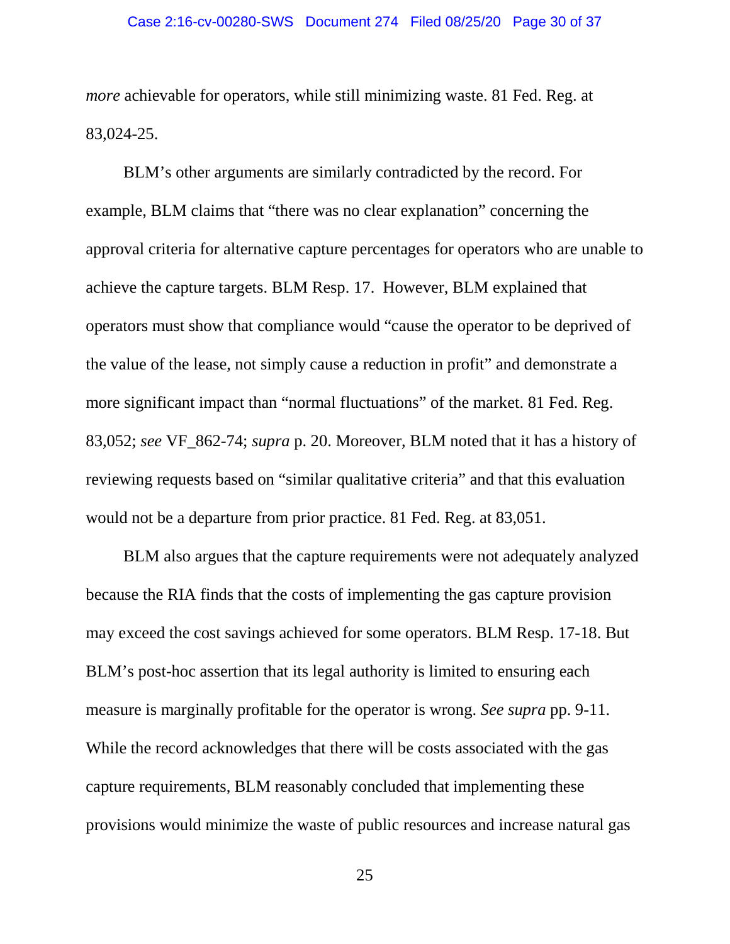*more* achievable for operators, while still minimizing waste. 81 Fed. Reg. at 83,024-25.

BLM's other arguments are similarly contradicted by the record. For example, BLM claims that "there was no clear explanation" concerning the approval criteria for alternative capture percentages for operators who are unable to achieve the capture targets. BLM Resp. 17. However, BLM explained that operators must show that compliance would "cause the operator to be deprived of the value of the lease, not simply cause a reduction in profit" and demonstrate a more significant impact than "normal fluctuations" of the market. 81 Fed. Reg. 83,052; *see* VF\_862-74; *supra* p. 20. Moreover, BLM noted that it has a history of reviewing requests based on "similar qualitative criteria" and that this evaluation would not be a departure from prior practice. 81 Fed. Reg. at 83,051.

BLM also argues that the capture requirements were not adequately analyzed because the RIA finds that the costs of implementing the gas capture provision may exceed the cost savings achieved for some operators. BLM Resp. 17-18. But BLM's post-hoc assertion that its legal authority is limited to ensuring each measure is marginally profitable for the operator is wrong. *See supra* pp. 9-11. While the record acknowledges that there will be costs associated with the gas capture requirements, BLM reasonably concluded that implementing these provisions would minimize the waste of public resources and increase natural gas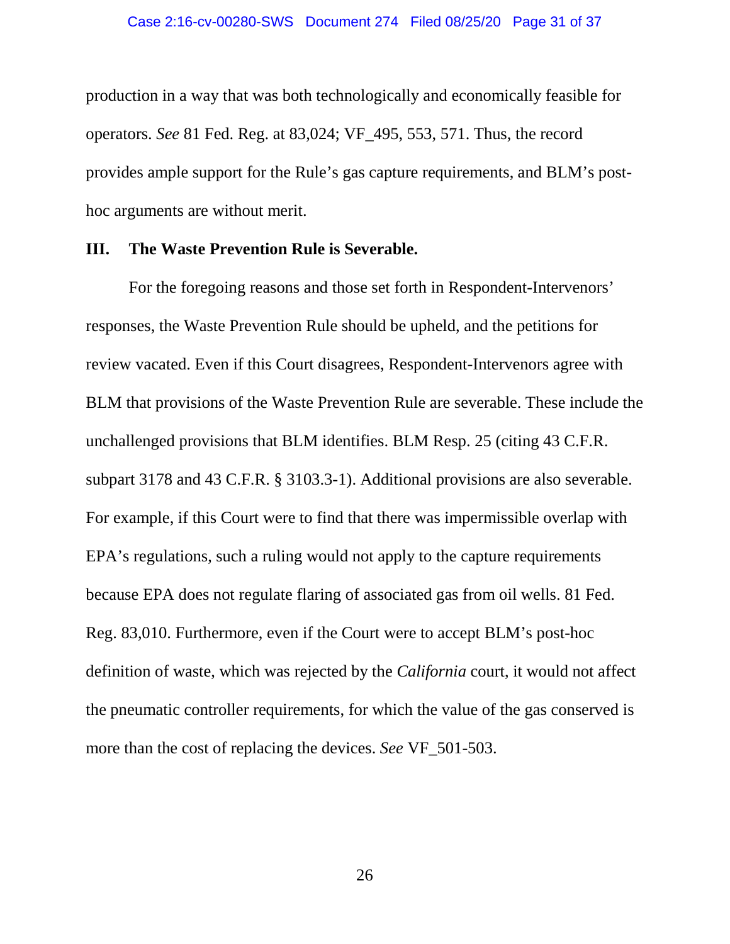production in a way that was both technologically and economically feasible for operators. *See* 81 Fed. Reg. at 83,024; VF\_495, 553, 571. Thus, the record provides ample support for the Rule's gas capture requirements, and BLM's posthoc arguments are without merit.

#### **III. The Waste Prevention Rule is Severable.**

For the foregoing reasons and those set forth in Respondent-Intervenors' responses, the Waste Prevention Rule should be upheld, and the petitions for review vacated. Even if this Court disagrees, Respondent-Intervenors agree with BLM that provisions of the Waste Prevention Rule are severable. These include the unchallenged provisions that BLM identifies. BLM Resp. 25 (citing 43 C.F.R. subpart 3178 and 43 C.F.R. § 3103.3-1). Additional provisions are also severable. For example, if this Court were to find that there was impermissible overlap with EPA's regulations, such a ruling would not apply to the capture requirements because EPA does not regulate flaring of associated gas from oil wells. 81 Fed. Reg. 83,010. Furthermore, even if the Court were to accept BLM's post-hoc definition of waste, which was rejected by the *California* court, it would not affect the pneumatic controller requirements, for which the value of the gas conserved is more than the cost of replacing the devices. *See* VF\_501-503.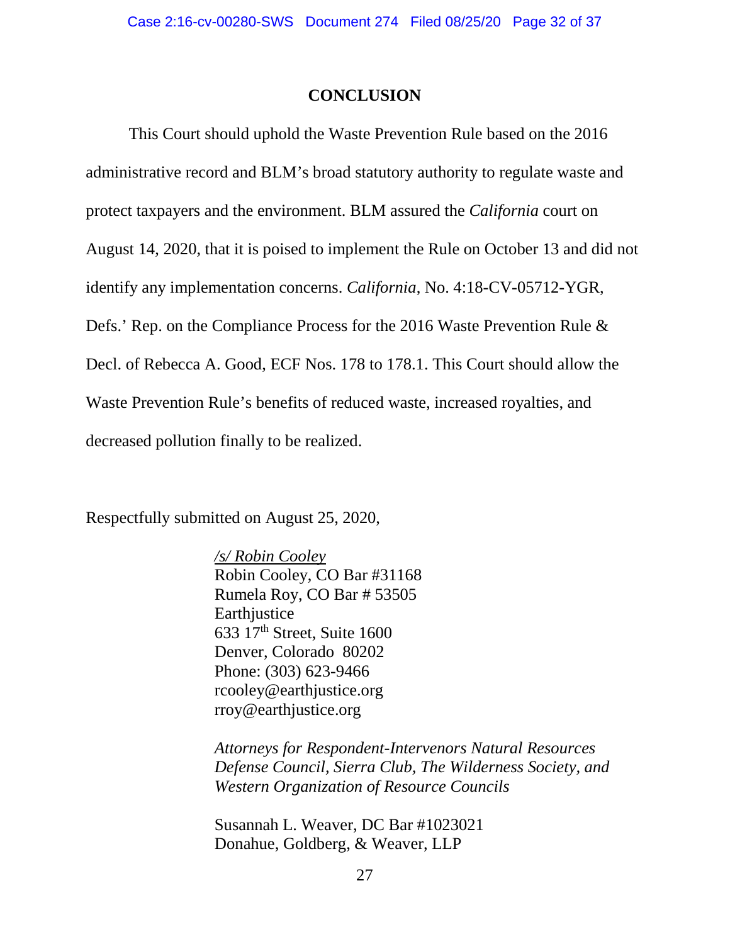#### **CONCLUSION**

This Court should uphold the Waste Prevention Rule based on the 2016 administrative record and BLM's broad statutory authority to regulate waste and protect taxpayers and the environment. BLM assured the *California* court on August 14, 2020, that it is poised to implement the Rule on October 13 and did not identify any implementation concerns. *California*, No. 4:18-CV-05712-YGR, Defs.' Rep. on the Compliance Process for the 2016 Waste Prevention Rule & Decl. of Rebecca A. Good, ECF Nos. 178 to 178.1. This Court should allow the Waste Prevention Rule's benefits of reduced waste, increased royalties, and decreased pollution finally to be realized.

Respectfully submitted on August 25, 2020,

*/s/ Robin Cooley* Robin Cooley, CO Bar #31168 Rumela Roy, CO Bar # 53505 **Earthjustice** 633  $17<sup>th</sup>$  Street, Suite 1600 Denver, Colorado 80202 Phone: (303) 623-9466 rcooley@earthjustice.org rro[y@earthjustice.org](mailto:jminor@earthjustice.org)

*Attorneys for Respondent-Intervenors Natural Resources Defense Council, Sierra Club, The Wilderness Society, and Western Organization of Resource Councils*

Susannah L. Weaver, DC Bar #1023021 Donahue, Goldberg, & Weaver, LLP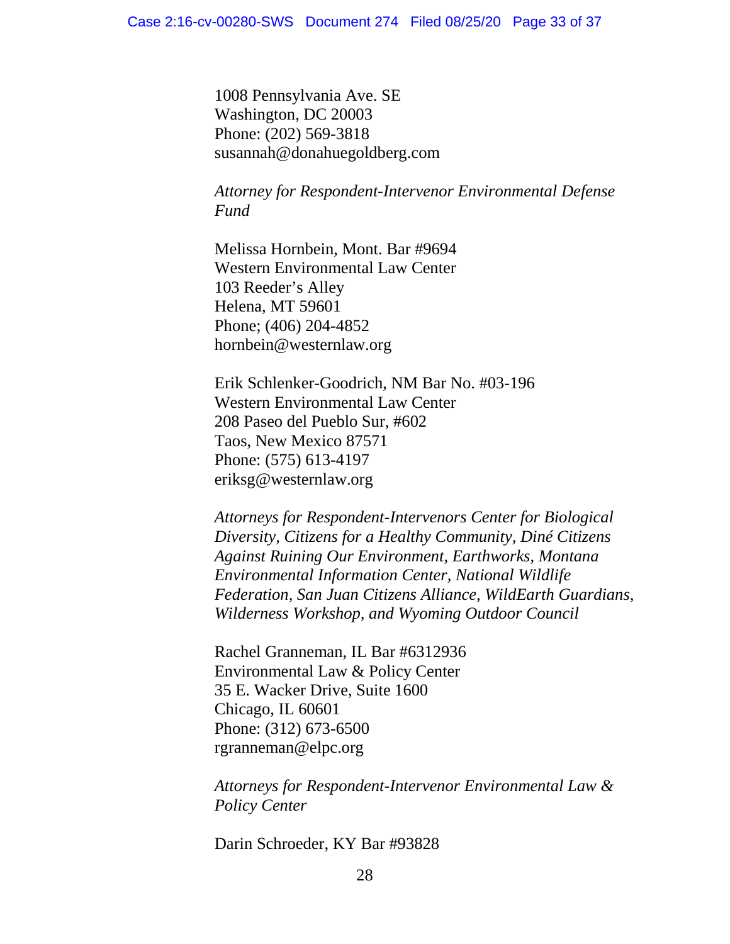1008 Pennsylvania Ave. SE Washington, DC 20003 Phone: (202) 569-3818 [susannah@donahuegoldberg.com](mailto:susannah@donahuegoldberg.com)

*Attorney for Respondent-Intervenor Environmental Defense Fund*

Melissa Hornbein, Mont. Bar #9694 Western Environmental Law Center 103 Reeder's Alley Helena, MT 59601 Phone; (406) 204-4852 hornbein@westernlaw.org

Erik Schlenker-Goodrich, NM Bar No. #03-196 Western Environmental Law Center 208 Paseo del Pueblo Sur, #602 Taos, New Mexico 87571 Phone: (575) 613-4197 eriksg@westernlaw.org

*Attorneys for Respondent-Intervenors Center for Biological Diversity, Citizens for a Healthy Community, Diné Citizens Against Ruining Our Environment, Earthworks, Montana Environmental Information Center, National Wildlife Federation, San Juan Citizens Alliance, WildEarth Guardians, Wilderness Workshop, and Wyoming Outdoor Council*

Rachel Granneman, IL Bar #6312936 Environmental Law & Policy Center 35 E. Wacker Drive, Suite 1600 Chicago, IL 60601 Phone: (312) 673-6500 rgranneman@elpc.org

*Attorneys for Respondent-Intervenor Environmental Law & Policy Center*

Darin Schroeder, KY Bar #93828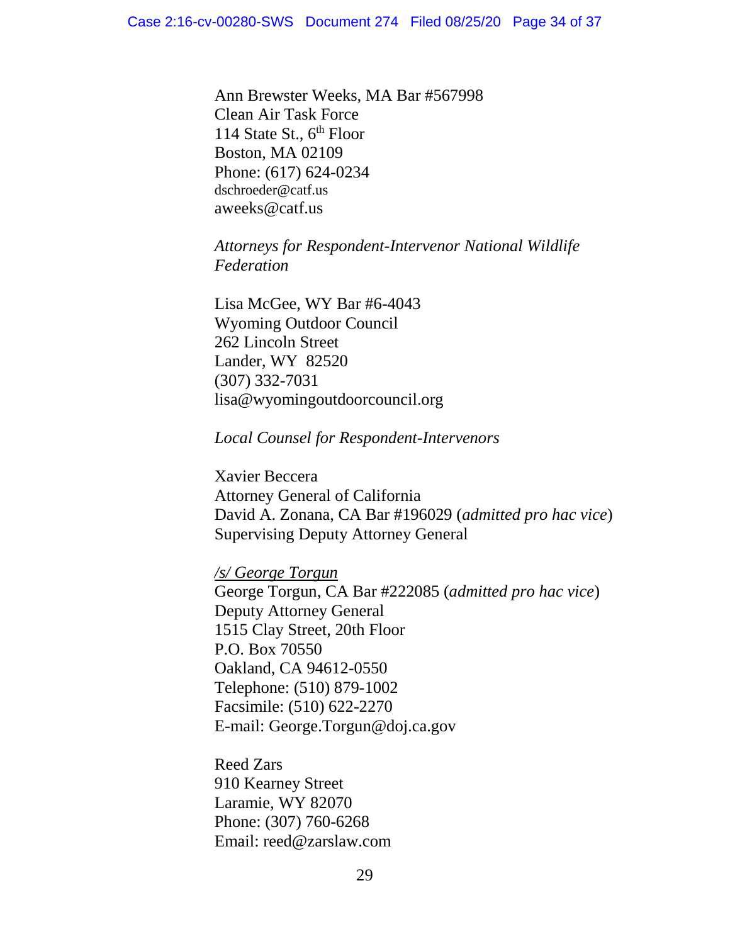Ann Brewster Weeks, MA Bar #567998 Clean Air Task Force 114 State St.,  $6<sup>th</sup>$  Floor Boston, MA 02109 Phone: (617) 624-0234 dschroeder@catf.us aweeks@catf.us

*Attorneys for Respondent-Intervenor National Wildlife Federation*

Lisa McGee, WY Bar #6-4043 Wyoming Outdoor Council 262 Lincoln Street Lander, WY 82520 (307) 332-7031 lisa@wyomingoutdoorcouncil.org

*Local Counsel for Respondent-Intervenors*

Xavier Beccera Attorney General of California David A. Zonana, CA Bar #196029 (*admitted pro hac vice*) Supervising Deputy Attorney General

*/s/ George Torgun* George Torgun, CA Bar #222085 (*admitted pro hac vice*) Deputy Attorney General 1515 Clay Street, 20th Floor P.O. Box 70550 Oakland, CA 94612-0550 Telephone: (510) 879-1002 Facsimile: (510) 622-2270 E-mail: George.Torgun@doj.ca.gov

Reed Zars 910 Kearney Street Laramie, WY 82070 Phone: (307) 760-6268 Email: reed@zarslaw.com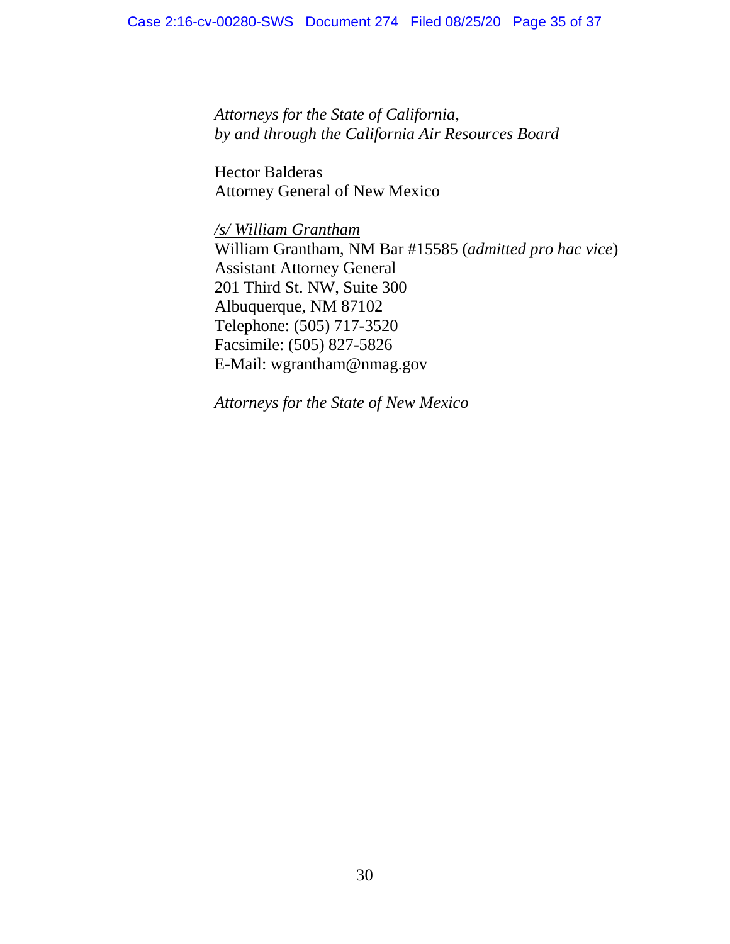*Attorneys for the State of California, by and through the California Air Resources Board*

Hector Balderas Attorney General of New Mexico

*/s/ William Grantham* William Grantham, NM Bar #15585 (*admitted pro hac vice*) Assistant Attorney General 201 Third St. NW, Suite 300 Albuquerque, NM 87102 Telephone: (505) 717-3520 Facsimile: (505) 827-5826 E-Mail: wgrantham@nmag.gov

*Attorneys for the State of New Mexico*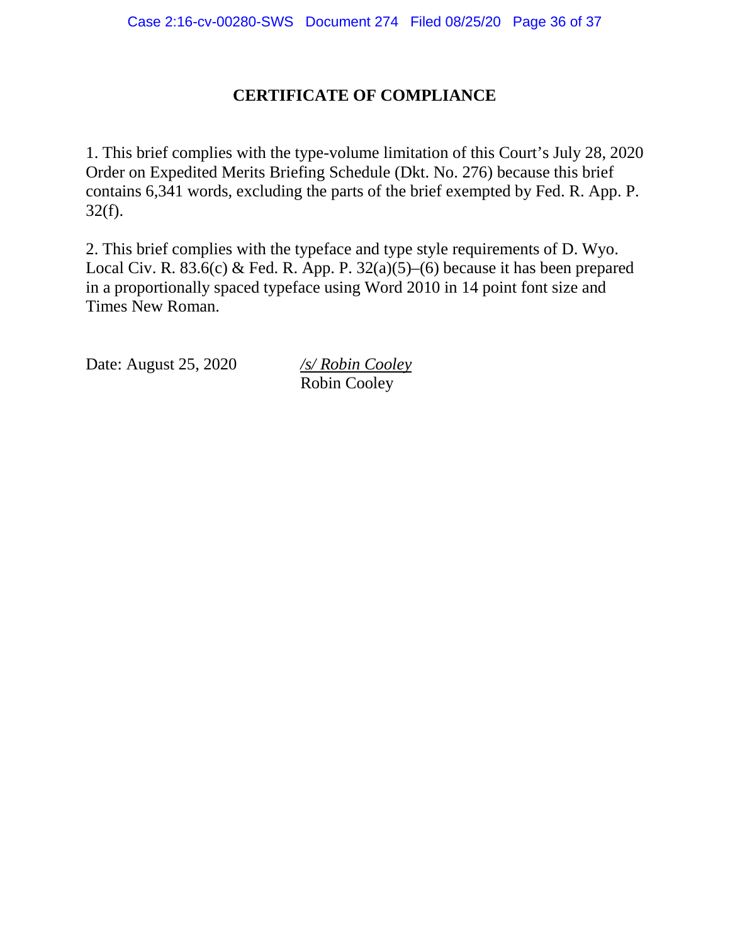### **CERTIFICATE OF COMPLIANCE**

1. This brief complies with the type-volume limitation of this Court's July 28, 2020 Order on Expedited Merits Briefing Schedule (Dkt. No. 276) because this brief contains 6,341 words, excluding the parts of the brief exempted by Fed. R. App. P. 32(f).

2. This brief complies with the typeface and type style requirements of D. Wyo. Local Civ. R. 83.6(c) & Fed. R. App. P.  $32(a)(5)-(6)$  because it has been prepared in a proportionally spaced typeface using Word 2010 in 14 point font size and Times New Roman.

Date: August 25, 2020 */s/ Robin Cooley*

Robin Cooley